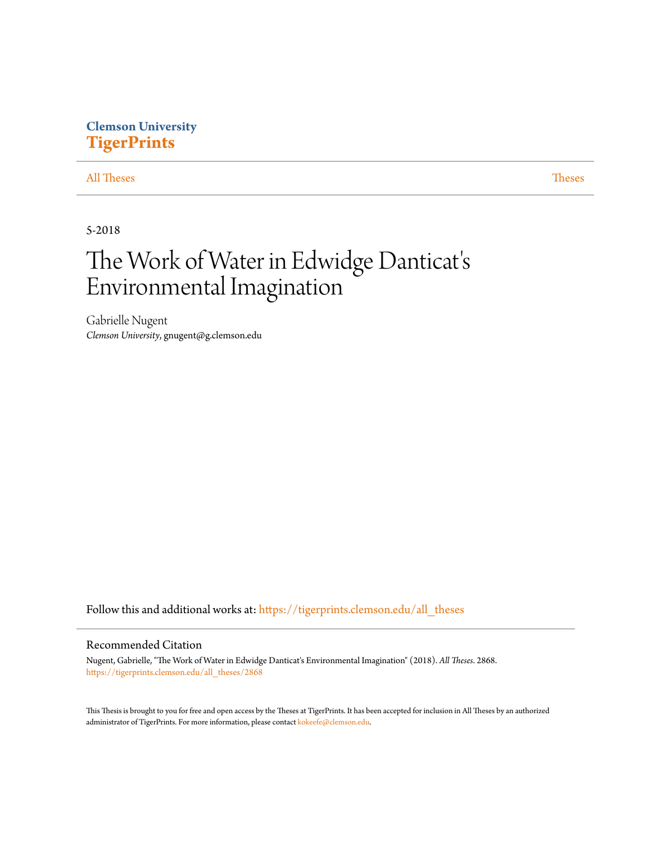# **Clemson University [TigerPrints](https://tigerprints.clemson.edu?utm_source=tigerprints.clemson.edu%2Fall_theses%2F2868&utm_medium=PDF&utm_campaign=PDFCoverPages)**

## [All Theses](https://tigerprints.clemson.edu/all_theses?utm_source=tigerprints.clemson.edu%2Fall_theses%2F2868&utm_medium=PDF&utm_campaign=PDFCoverPages) **[Theses](https://tigerprints.clemson.edu/theses?utm_source=tigerprints.clemson.edu%2Fall_theses%2F2868&utm_medium=PDF&utm_campaign=PDFCoverPages)**

5-2018

# The Work of Water in Edwidge Danticat' s Environmental Imagination

Gabrielle Nugent *Clemson University*, gnugent@g.clemson.edu

Follow this and additional works at: [https://tigerprints.clemson.edu/all\\_theses](https://tigerprints.clemson.edu/all_theses?utm_source=tigerprints.clemson.edu%2Fall_theses%2F2868&utm_medium=PDF&utm_campaign=PDFCoverPages)

#### Recommended Citation

Nugent, Gabrielle, "The Work of Water in Edwidge Danticat's Environmental Imagination" (2018). *All Theses*. 2868. [https://tigerprints.clemson.edu/all\\_theses/2868](https://tigerprints.clemson.edu/all_theses/2868?utm_source=tigerprints.clemson.edu%2Fall_theses%2F2868&utm_medium=PDF&utm_campaign=PDFCoverPages)

This Thesis is brought to you for free and open access by the Theses at TigerPrints. It has been accepted for inclusion in All Theses by an authorized administrator of TigerPrints. For more information, please contact [kokeefe@clemson.edu](mailto:kokeefe@clemson.edu).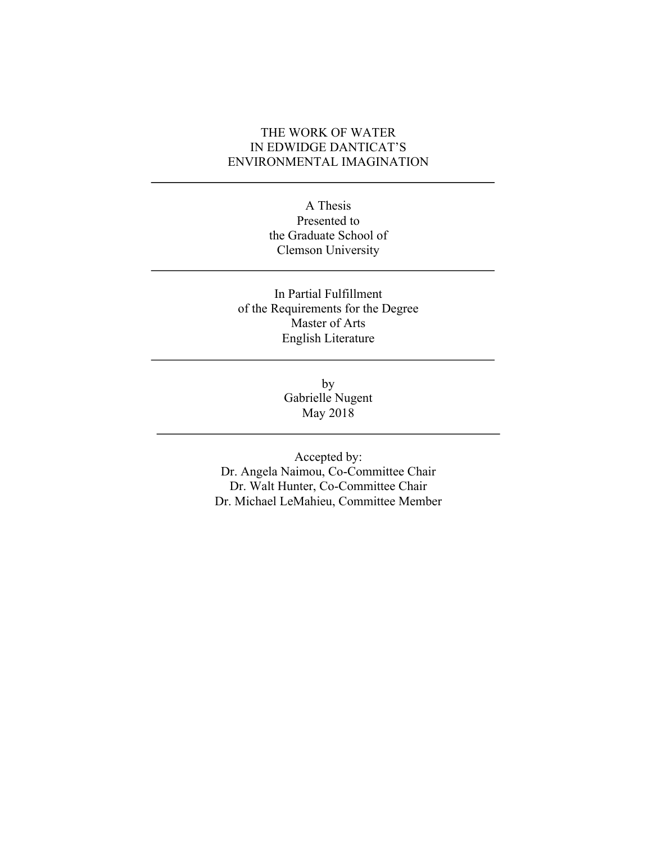## THE WORK OF WATER IN EDWIDGE DANTICAT'S ENVIRONMENTAL IMAGINATION

A Thesis Presented to the Graduate School of Clemson University

## In Partial Fulfillment of the Requirements for the Degree Master of Arts English Literature

by Gabrielle Nugent May 2018

Accepted by: Dr. Angela Naimou, Co-Committee Chair Dr. Walt Hunter, Co-Committee Chair Dr. Michael LeMahieu, Committee Member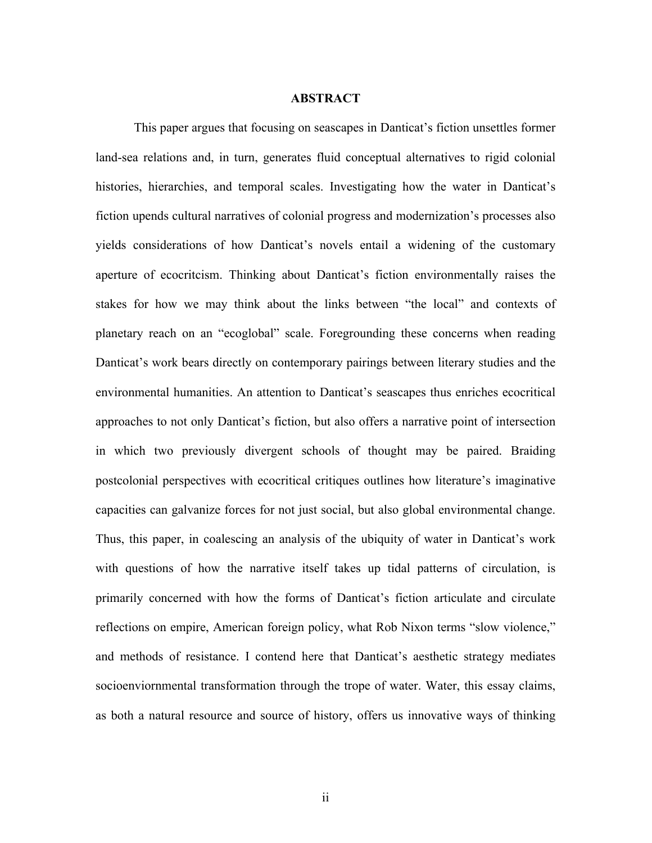#### **ABSTRACT**

This paper argues that focusing on seascapes in Danticat's fiction unsettles former land-sea relations and, in turn, generates fluid conceptual alternatives to rigid colonial histories, hierarchies, and temporal scales. Investigating how the water in Danticat's fiction upends cultural narratives of colonial progress and modernization's processes also yields considerations of how Danticat's novels entail a widening of the customary aperture of ecocritcism. Thinking about Danticat's fiction environmentally raises the stakes for how we may think about the links between "the local" and contexts of planetary reach on an "ecoglobal" scale. Foregrounding these concerns when reading Danticat's work bears directly on contemporary pairings between literary studies and the environmental humanities. An attention to Danticat's seascapes thus enriches ecocritical approaches to not only Danticat's fiction, but also offers a narrative point of intersection in which two previously divergent schools of thought may be paired. Braiding postcolonial perspectives with ecocritical critiques outlines how literature's imaginative capacities can galvanize forces for not just social, but also global environmental change. Thus, this paper, in coalescing an analysis of the ubiquity of water in Danticat's work with questions of how the narrative itself takes up tidal patterns of circulation, is primarily concerned with how the forms of Danticat's fiction articulate and circulate reflections on empire, American foreign policy, what Rob Nixon terms "slow violence," and methods of resistance. I contend here that Danticat's aesthetic strategy mediates socioenviornmental transformation through the trope of water. Water, this essay claims, as both a natural resource and source of history, offers us innovative ways of thinking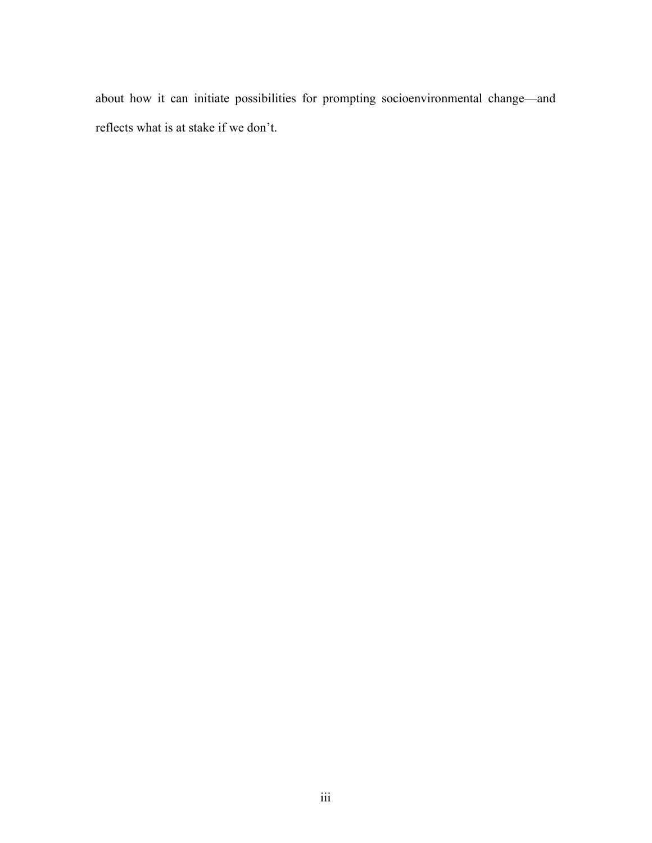about how it can initiate possibilities for prompting socioenvironmental change—and reflects what is at stake if we don't.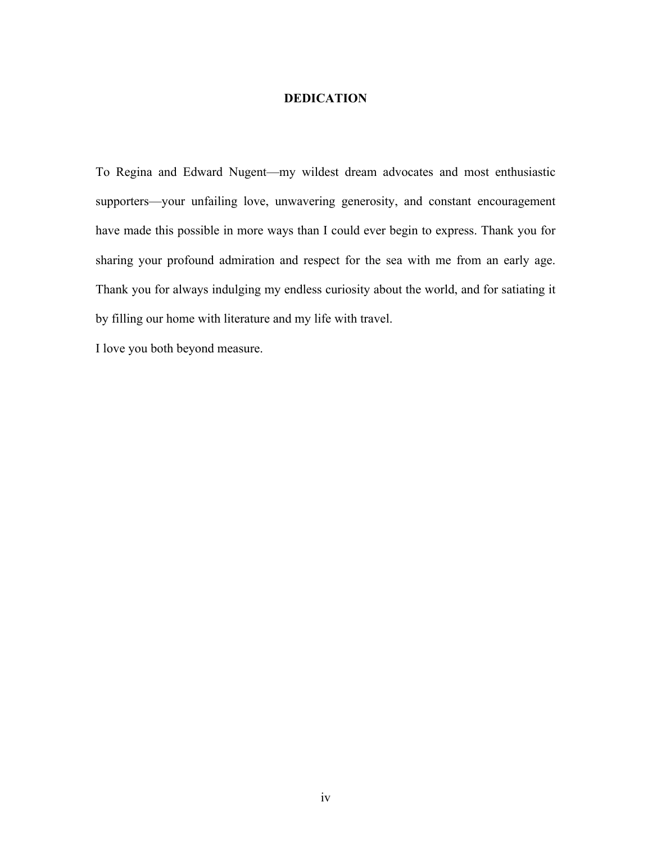### **DEDICATION**

To Regina and Edward Nugent—my wildest dream advocates and most enthusiastic supporters—your unfailing love, unwavering generosity, and constant encouragement have made this possible in more ways than I could ever begin to express. Thank you for sharing your profound admiration and respect for the sea with me from an early age. Thank you for always indulging my endless curiosity about the world, and for satiating it by filling our home with literature and my life with travel.

I love you both beyond measure.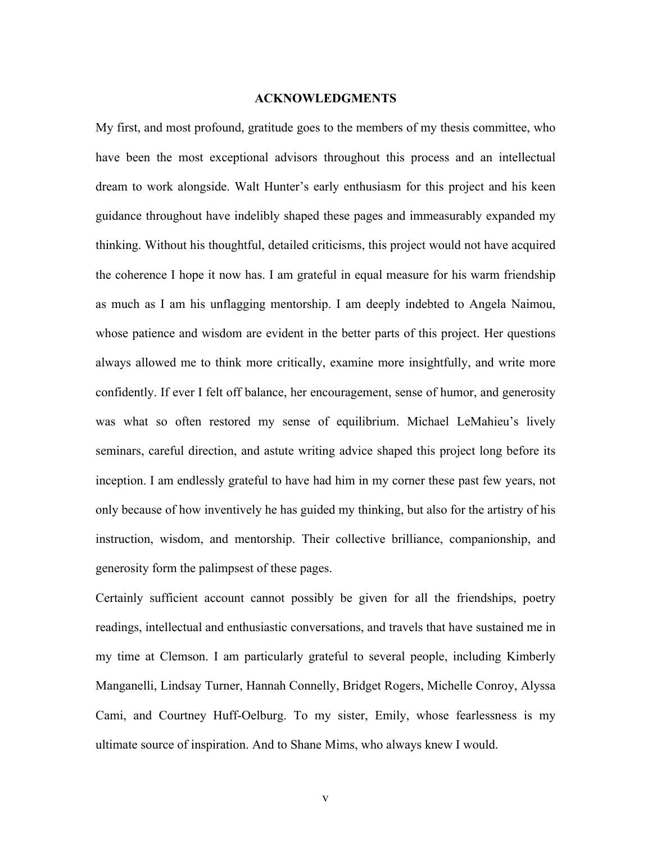#### **ACKNOWLEDGMENTS**

My first, and most profound, gratitude goes to the members of my thesis committee, who have been the most exceptional advisors throughout this process and an intellectual dream to work alongside. Walt Hunter's early enthusiasm for this project and his keen guidance throughout have indelibly shaped these pages and immeasurably expanded my thinking. Without his thoughtful, detailed criticisms, this project would not have acquired the coherence I hope it now has. I am grateful in equal measure for his warm friendship as much as I am his unflagging mentorship. I am deeply indebted to Angela Naimou, whose patience and wisdom are evident in the better parts of this project. Her questions always allowed me to think more critically, examine more insightfully, and write more confidently. If ever I felt off balance, her encouragement, sense of humor, and generosity was what so often restored my sense of equilibrium. Michael LeMahieu's lively seminars, careful direction, and astute writing advice shaped this project long before its inception. I am endlessly grateful to have had him in my corner these past few years, not only because of how inventively he has guided my thinking, but also for the artistry of his instruction, wisdom, and mentorship. Their collective brilliance, companionship, and generosity form the palimpsest of these pages.

Certainly sufficient account cannot possibly be given for all the friendships, poetry readings, intellectual and enthusiastic conversations, and travels that have sustained me in my time at Clemson. I am particularly grateful to several people, including Kimberly Manganelli, Lindsay Turner, Hannah Connelly, Bridget Rogers, Michelle Conroy, Alyssa Cami, and Courtney Huff-Oelburg. To my sister, Emily, whose fearlessness is my ultimate source of inspiration. And to Shane Mims, who always knew I would.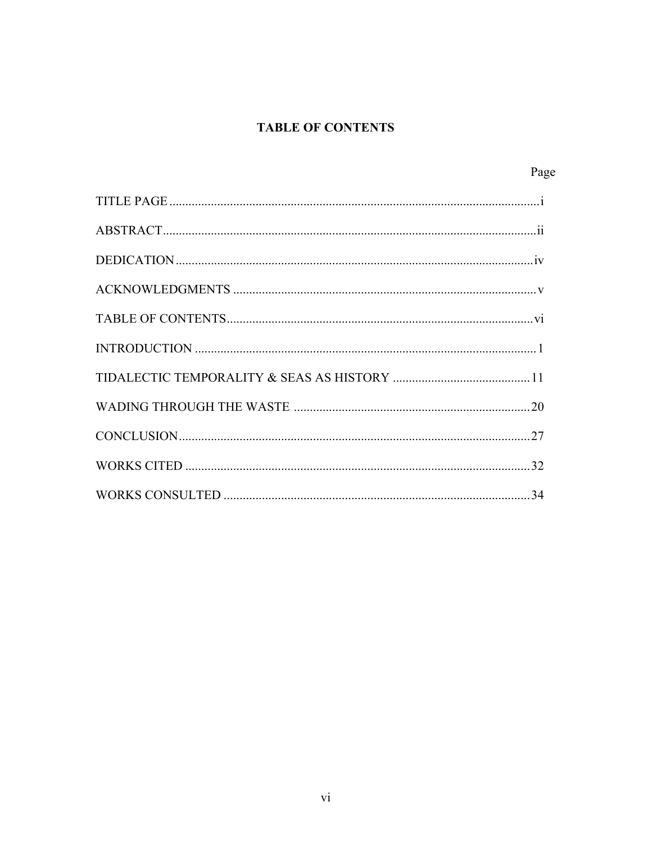## **TABLE OF CONTENTS**

| Page |
|------|
|      |
|      |
|      |
|      |
|      |
|      |
|      |
|      |
|      |
|      |
|      |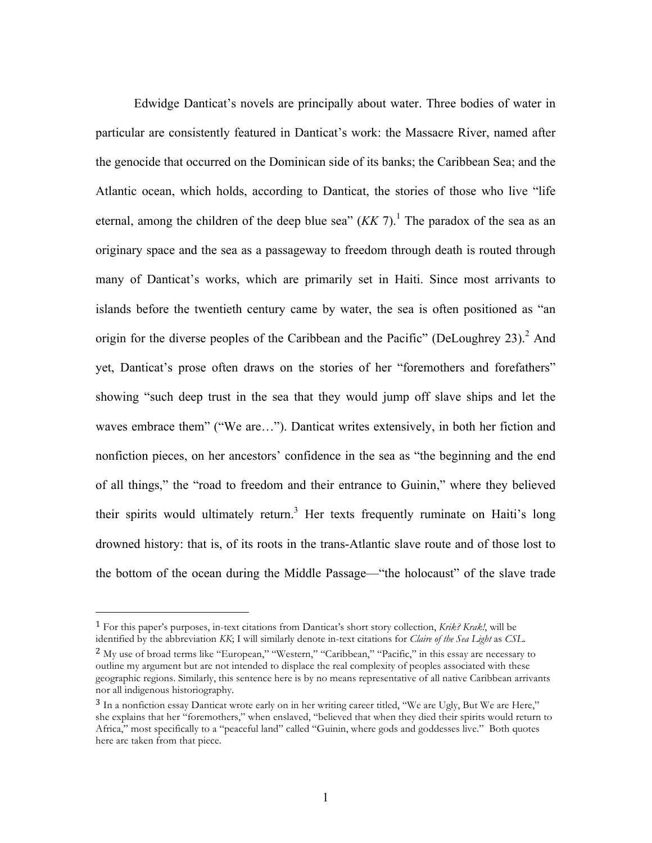Edwidge Danticat's novels are principally about water. Three bodies of water in particular are consistently featured in Danticat's work: the Massacre River, named after the genocide that occurred on the Dominican side of its banks; the Caribbean Sea; and the Atlantic ocean, which holds, according to Danticat, the stories of those who live "life eternal, among the children of the deep blue sea"  $(KK 7)$ .<sup>1</sup> The paradox of the sea as an originary space and the sea as a passageway to freedom through death is routed through many of Danticat's works, which are primarily set in Haiti. Since most arrivants to islands before the twentieth century came by water, the sea is often positioned as "an origin for the diverse peoples of the Caribbean and the Pacific" (DeLoughrey 23).<sup>2</sup> And yet, Danticat's prose often draws on the stories of her "foremothers and forefathers" showing "such deep trust in the sea that they would jump off slave ships and let the waves embrace them" ("We are…"). Danticat writes extensively, in both her fiction and nonfiction pieces, on her ancestors' confidence in the sea as "the beginning and the end of all things," the "road to freedom and their entrance to Guinin," where they believed their spirits would ultimately return.<sup>3</sup> Her texts frequently ruminate on Haiti's long drowned history: that is, of its roots in the trans-Atlantic slave route and of those lost to the bottom of the ocean during the Middle Passage—"the holocaust" of the slave trade

<sup>1</sup> For this paper's purposes, in-text citations from Danticat's short story collection, *Krik? Krak!*, will be identified by the abbreviation *KK*; I will similarly denote in-text citations for *Claire of the Sea Light* as *CSL*.

<sup>&</sup>lt;sup>2</sup> My use of broad terms like "European," "Western," "Caribbean," "Pacific," in this essay are necessary to outline my argument but are not intended to displace the real complexity of peoples associated with these geographic regions. Similarly, this sentence here is by no means representative of all native Caribbean arrivants nor all indigenous historiography.

<sup>3</sup> In a nonfiction essay Danticat wrote early on in her writing career titled, "We are Ugly, But We are Here," she explains that her "foremothers," when enslaved, "believed that when they died their spirits would return to Africa," most specifically to a "peaceful land" called "Guinin, where gods and goddesses live." Both quotes here are taken from that piece.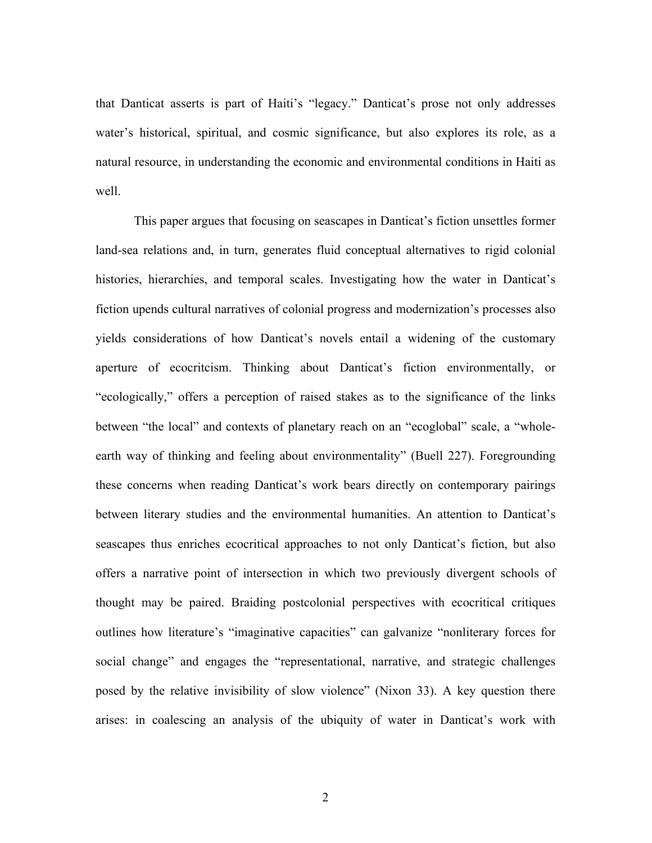that Danticat asserts is part of Haiti's "legacy." Danticat's prose not only addresses water's historical, spiritual, and cosmic significance, but also explores its role, as a natural resource, in understanding the economic and environmental conditions in Haiti as well.

This paper argues that focusing on seascapes in Danticat's fiction unsettles former land-sea relations and, in turn, generates fluid conceptual alternatives to rigid colonial histories, hierarchies, and temporal scales. Investigating how the water in Danticat's fiction upends cultural narratives of colonial progress and modernization's processes also yields considerations of how Danticat's novels entail a widening of the customary aperture of ecocritcism. Thinking about Danticat's fiction environmentally, or "ecologically," offers a perception of raised stakes as to the significance of the links between "the local" and contexts of planetary reach on an "ecoglobal" scale, a "wholeearth way of thinking and feeling about environmentality" (Buell 227). Foregrounding these concerns when reading Danticat's work bears directly on contemporary pairings between literary studies and the environmental humanities. An attention to Danticat's seascapes thus enriches ecocritical approaches to not only Danticat's fiction, but also offers a narrative point of intersection in which two previously divergent schools of thought may be paired. Braiding postcolonial perspectives with ecocritical critiques outlines how literature's "imaginative capacities" can galvanize "nonliterary forces for social change" and engages the "representational, narrative, and strategic challenges posed by the relative invisibility of slow violence" (Nixon 33). A key question there arises: in coalescing an analysis of the ubiquity of water in Danticat's work with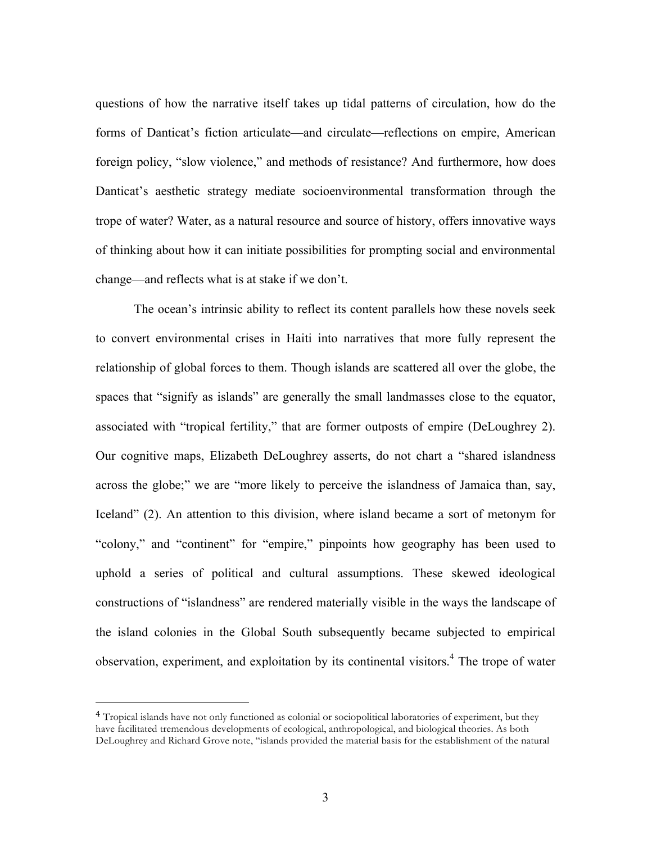questions of how the narrative itself takes up tidal patterns of circulation, how do the forms of Danticat's fiction articulate—and circulate—reflections on empire, American foreign policy, "slow violence," and methods of resistance? And furthermore, how does Danticat's aesthetic strategy mediate socioenvironmental transformation through the trope of water? Water, as a natural resource and source of history, offers innovative ways of thinking about how it can initiate possibilities for prompting social and environmental change—and reflects what is at stake if we don't.

The ocean's intrinsic ability to reflect its content parallels how these novels seek to convert environmental crises in Haiti into narratives that more fully represent the relationship of global forces to them. Though islands are scattered all over the globe, the spaces that "signify as islands" are generally the small landmasses close to the equator, associated with "tropical fertility," that are former outposts of empire (DeLoughrey 2). Our cognitive maps, Elizabeth DeLoughrey asserts, do not chart a "shared islandness across the globe;" we are "more likely to perceive the islandness of Jamaica than, say, Iceland" (2). An attention to this division, where island became a sort of metonym for "colony," and "continent" for "empire," pinpoints how geography has been used to uphold a series of political and cultural assumptions. These skewed ideological constructions of "islandness" are rendered materially visible in the ways the landscape of the island colonies in the Global South subsequently became subjected to empirical observation, experiment, and exploitation by its continental visitors. $4$  The trope of water

<sup>&</sup>lt;sup>4</sup> Tropical islands have not only functioned as colonial or sociopolitical laboratories of experiment, but they have facilitated tremendous developments of ecological, anthropological, and biological theories. As both DeLoughrey and Richard Grove note, "islands provided the material basis for the establishment of the natural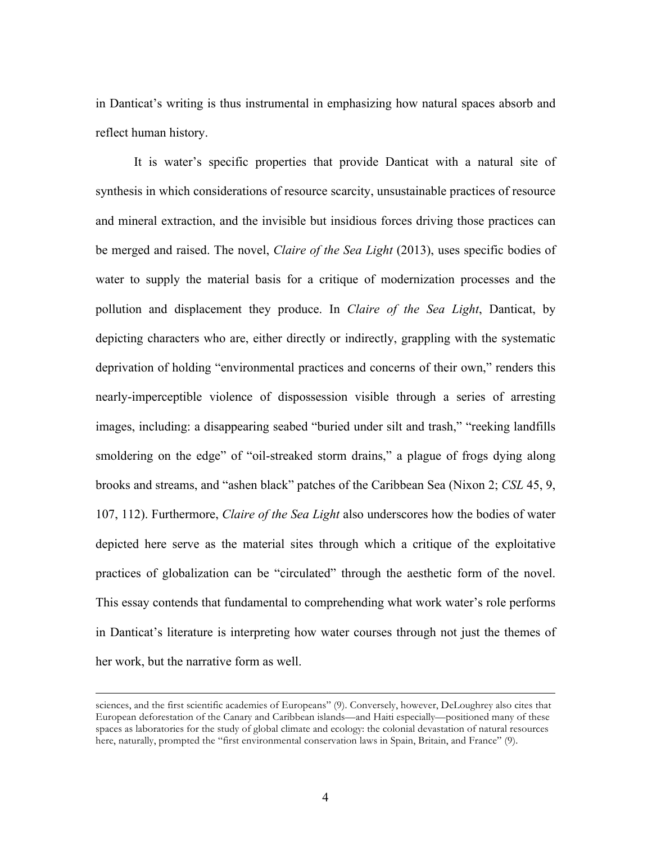in Danticat's writing is thus instrumental in emphasizing how natural spaces absorb and reflect human history.

It is water's specific properties that provide Danticat with a natural site of synthesis in which considerations of resource scarcity, unsustainable practices of resource and mineral extraction, and the invisible but insidious forces driving those practices can be merged and raised. The novel, *Claire of the Sea Light* (2013), uses specific bodies of water to supply the material basis for a critique of modernization processes and the pollution and displacement they produce. In *Claire of the Sea Light*, Danticat, by depicting characters who are, either directly or indirectly, grappling with the systematic deprivation of holding "environmental practices and concerns of their own," renders this nearly-imperceptible violence of dispossession visible through a series of arresting images, including: a disappearing seabed "buried under silt and trash," "reeking landfills smoldering on the edge" of "oil-streaked storm drains," a plague of frogs dying along brooks and streams, and "ashen black" patches of the Caribbean Sea (Nixon 2; *CSL* 45, 9, 107, 112). Furthermore, *Claire of the Sea Light* also underscores how the bodies of water depicted here serve as the material sites through which a critique of the exploitative practices of globalization can be "circulated" through the aesthetic form of the novel. This essay contends that fundamental to comprehending what work water's role performs in Danticat's literature is interpreting how water courses through not just the themes of her work, but the narrative form as well.

1

sciences, and the first scientific academies of Europeans" (9). Conversely, however, DeLoughrey also cites that European deforestation of the Canary and Caribbean islands—and Haiti especially—positioned many of these spaces as laboratories for the study of global climate and ecology: the colonial devastation of natural resources here, naturally, prompted the "first environmental conservation laws in Spain, Britain, and France" (9).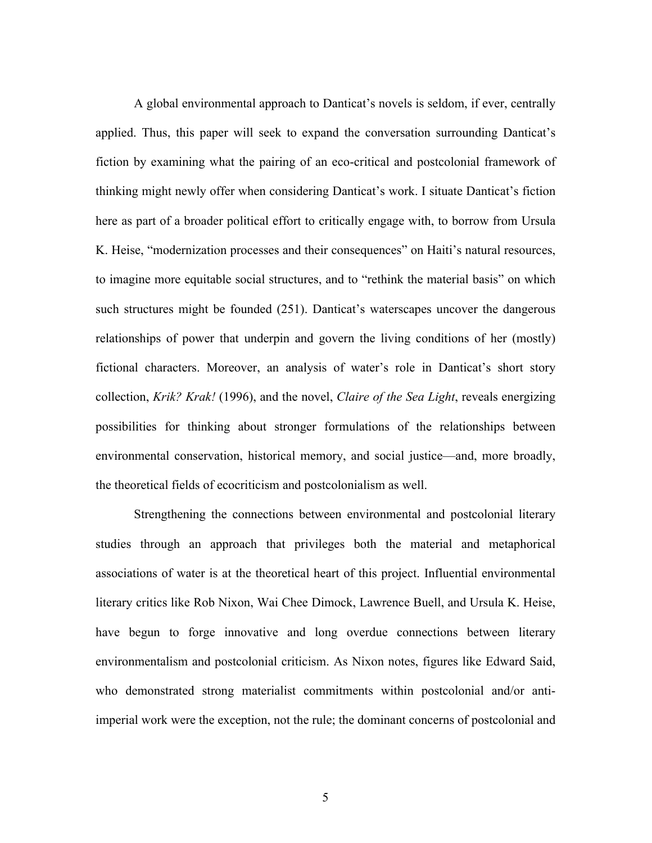A global environmental approach to Danticat's novels is seldom, if ever, centrally applied. Thus, this paper will seek to expand the conversation surrounding Danticat's fiction by examining what the pairing of an eco-critical and postcolonial framework of thinking might newly offer when considering Danticat's work. I situate Danticat's fiction here as part of a broader political effort to critically engage with, to borrow from Ursula K. Heise, "modernization processes and their consequences" on Haiti's natural resources, to imagine more equitable social structures, and to "rethink the material basis" on which such structures might be founded (251). Danticat's waterscapes uncover the dangerous relationships of power that underpin and govern the living conditions of her (mostly) fictional characters. Moreover, an analysis of water's role in Danticat's short story collection, *Krik? Krak!* (1996), and the novel, *Claire of the Sea Light*, reveals energizing possibilities for thinking about stronger formulations of the relationships between environmental conservation, historical memory, and social justice—and, more broadly, the theoretical fields of ecocriticism and postcolonialism as well.

Strengthening the connections between environmental and postcolonial literary studies through an approach that privileges both the material and metaphorical associations of water is at the theoretical heart of this project. Influential environmental literary critics like Rob Nixon, Wai Chee Dimock, Lawrence Buell, and Ursula K. Heise, have begun to forge innovative and long overdue connections between literary environmentalism and postcolonial criticism. As Nixon notes, figures like Edward Said, who demonstrated strong materialist commitments within postcolonial and/or antiimperial work were the exception, not the rule; the dominant concerns of postcolonial and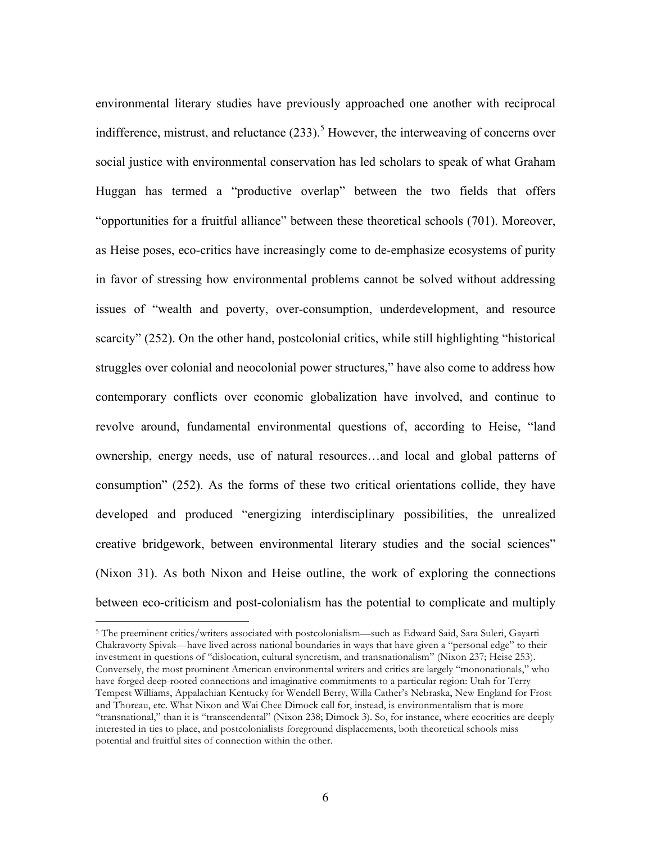environmental literary studies have previously approached one another with reciprocal indifference, mistrust, and reluctance  $(233)$ .<sup>5</sup> However, the interweaving of concerns over social justice with environmental conservation has led scholars to speak of what Graham Huggan has termed a "productive overlap" between the two fields that offers "opportunities for a fruitful alliance" between these theoretical schools (701). Moreover, as Heise poses, eco-critics have increasingly come to de-emphasize ecosystems of purity in favor of stressing how environmental problems cannot be solved without addressing issues of "wealth and poverty, over-consumption, underdevelopment, and resource scarcity" (252). On the other hand, postcolonial critics, while still highlighting "historical struggles over colonial and neocolonial power structures," have also come to address how contemporary conflicts over economic globalization have involved, and continue to revolve around, fundamental environmental questions of, according to Heise, "land ownership, energy needs, use of natural resources…and local and global patterns of consumption" (252). As the forms of these two critical orientations collide, they have developed and produced "energizing interdisciplinary possibilities, the unrealized creative bridgework, between environmental literary studies and the social sciences" (Nixon 31). As both Nixon and Heise outline, the work of exploring the connections between eco-criticism and post-colonialism has the potential to complicate and multiply

<sup>5</sup> The preeminent critics/writers associated with postcolonialism—such as Edward Said, Sara Suleri, Gayarti Chakravorty Spivak—have lived across national boundaries in ways that have given a "personal edge" to their investment in questions of "dislocation, cultural syncretism, and transnationalism" (Nixon 237; Heise 253). Conversely, the most prominent American environmental writers and critics are largely "mononationals," who have forged deep-rooted connections and imaginative commitments to a particular region: Utah for Terry Tempest Williams, Appalachian Kentucky for Wendell Berry, Willa Cather's Nebraska, New England for Frost and Thoreau, etc. What Nixon and Wai Chee Dimock call for, instead, is environmentalism that is more "transnational," than it is "transcendental" (Nixon 238; Dimock 3). So, for instance, where ecocritics are deeply interested in ties to place, and postcolonialists foreground displacements, both theoretical schools miss potential and fruitful sites of connection within the other.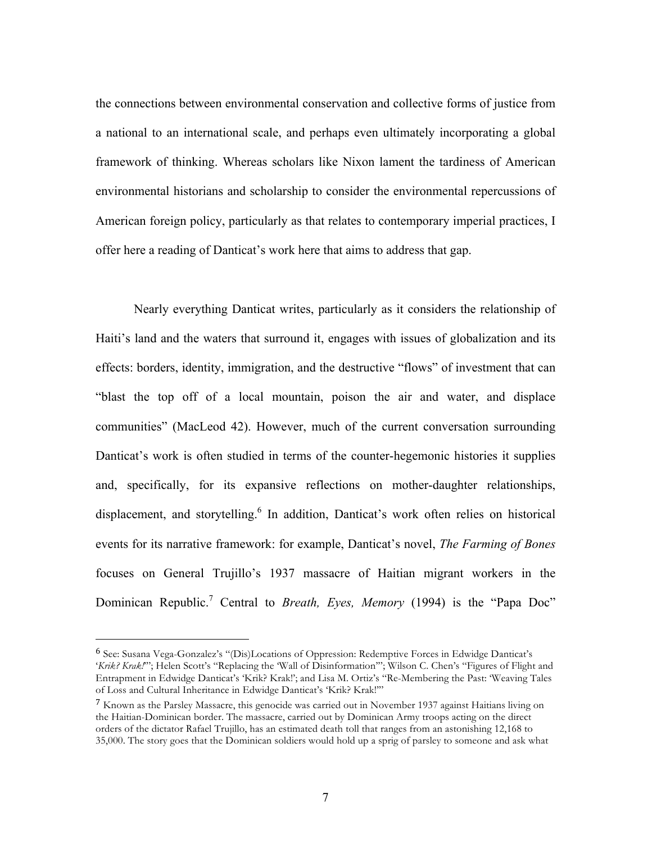the connections between environmental conservation and collective forms of justice from a national to an international scale, and perhaps even ultimately incorporating a global framework of thinking. Whereas scholars like Nixon lament the tardiness of American environmental historians and scholarship to consider the environmental repercussions of American foreign policy, particularly as that relates to contemporary imperial practices, I offer here a reading of Danticat's work here that aims to address that gap.

Nearly everything Danticat writes, particularly as it considers the relationship of Haiti's land and the waters that surround it, engages with issues of globalization and its effects: borders, identity, immigration, and the destructive "flows" of investment that can "blast the top off of a local mountain, poison the air and water, and displace communities" (MacLeod 42). However, much of the current conversation surrounding Danticat's work is often studied in terms of the counter-hegemonic histories it supplies and, specifically, for its expansive reflections on mother-daughter relationships, displacement, and storytelling.<sup>6</sup> In addition, Danticat's work often relies on historical events for its narrative framework: for example, Danticat's novel, *The Farming of Bones*  focuses on General Trujillo's 1937 massacre of Haitian migrant workers in the Dominican Republic.<sup>7</sup> Central to *Breath, Eyes, Memory* (1994) is the "Papa Doc"

<sup>6</sup> See: Susana Vega-Gonzalez's "(Dis)Locations of Oppression: Redemptive Forces in Edwidge Danticat's '*Krik? Krak!*'"; Helen Scott's "Replacing the 'Wall of Disinformation'"; Wilson C. Chen's "Figures of Flight and Entrapment in Edwidge Danticat's 'Krik? Krak!'; and Lisa M. Ortiz's "Re-Membering the Past: 'Weaving Tales of Loss and Cultural Inheritance in Edwidge Danticat's 'Krik? Krak!'"

<sup>7</sup> Known as the Parsley Massacre, this genocide was carried out in November 1937 against Haitians living on the Haitian-Dominican border. The massacre, carried out by Dominican Army troops acting on the direct orders of the dictator Rafael Trujillo, has an estimated death toll that ranges from an astonishing 12,168 to 35,000. The story goes that the Dominican soldiers would hold up a sprig of parsley to someone and ask what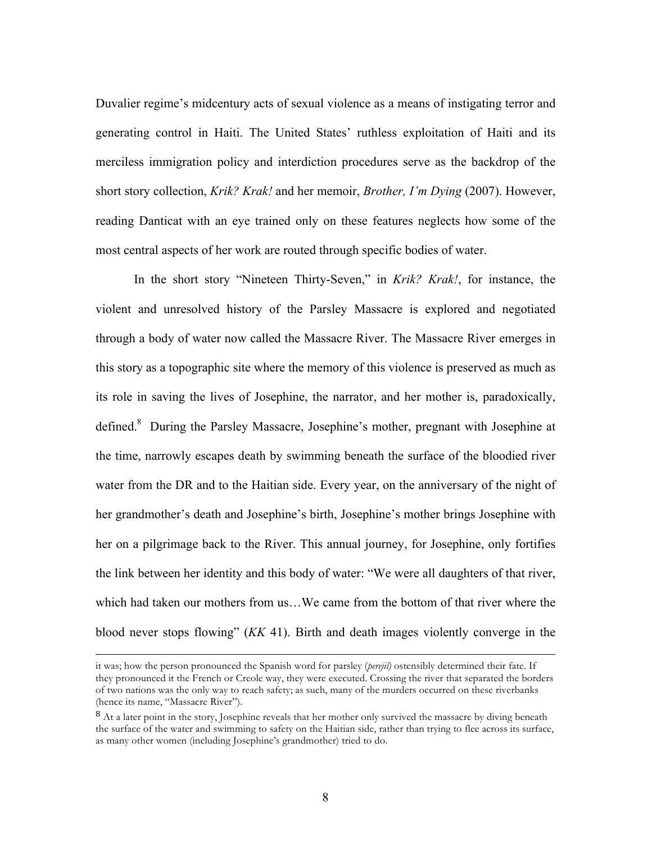Duvalier regime's midcentury acts of sexual violence as a means of instigating terror and generating control in Haiti. The United States' ruthless exploitation of Haiti and its merciless immigration policy and interdiction procedures serve as the backdrop of the short story collection, *Krik? Krak!* and her memoir, *Brother, I'm Dying* (2007). However, reading Danticat with an eye trained only on these features neglects how some of the most central aspects of her work are routed through specific bodies of water.

In the short story "Nineteen Thirty-Seven," in *Krik? Krak!*, for instance, the violent and unresolved history of the Parsley Massacre is explored and negotiated through a body of water now called the Massacre River. The Massacre River emerges in this story as a topographic site where the memory of this violence is preserved as much as its role in saving the lives of Josephine, the narrator, and her mother is, paradoxically, defined.<sup>8</sup> During the Parsley Massacre, Josephine's mother, pregnant with Josephine at the time, narrowly escapes death by swimming beneath the surface of the bloodied river water from the DR and to the Haitian side. Every year, on the anniversary of the night of her grandmother's death and Josephine's birth, Josephine's mother brings Josephine with her on a pilgrimage back to the River. This annual journey, for Josephine, only fortifies the link between her identity and this body of water: "We were all daughters of that river, which had taken our mothers from us…We came from the bottom of that river where the blood never stops flowing" (*KK* 41). Birth and death images violently converge in the

<u>.</u>

it was; how the person pronounced the Spanish word for parsley (*perejil)* ostensibly determined their fate. If they pronounced it the French or Creole way, they were executed. Crossing the river that separated the borders of two nations was the only way to reach safety; as such, many of the murders occurred on these riverbanks (hence its name, "Massacre River").

 $8$  At a later point in the story, Josephine reveals that her mother only survived the massacre by diving beneath the surface of the water and swimming to safety on the Haitian side, rather than trying to flee across its surface, as many other women (including Josephine's grandmother) tried to do.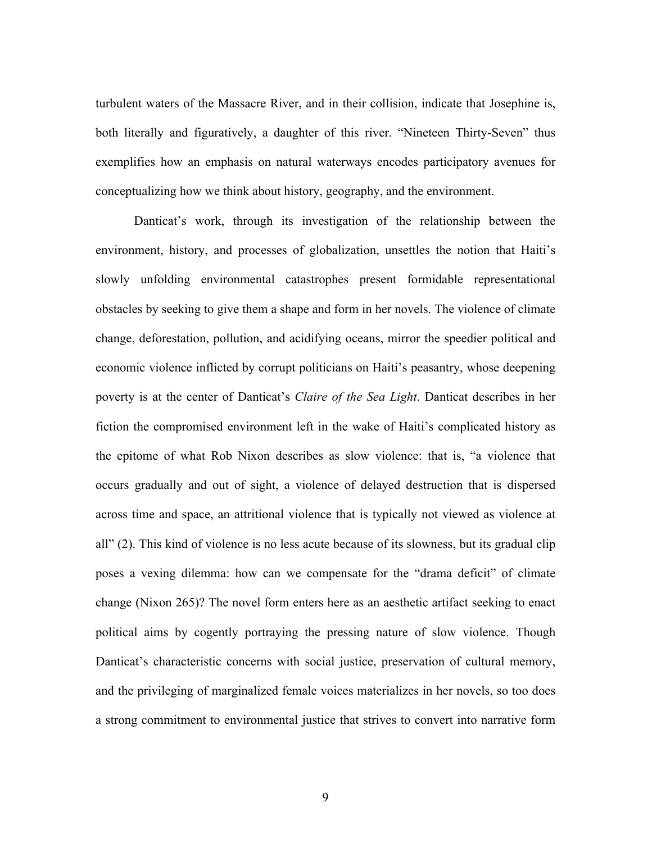turbulent waters of the Massacre River, and in their collision, indicate that Josephine is, both literally and figuratively, a daughter of this river. "Nineteen Thirty-Seven" thus exemplifies how an emphasis on natural waterways encodes participatory avenues for conceptualizing how we think about history, geography, and the environment.

Danticat's work, through its investigation of the relationship between the environment, history, and processes of globalization, unsettles the notion that Haiti's slowly unfolding environmental catastrophes present formidable representational obstacles by seeking to give them a shape and form in her novels. The violence of climate change, deforestation, pollution, and acidifying oceans, mirror the speedier political and economic violence inflicted by corrupt politicians on Haiti's peasantry, whose deepening poverty is at the center of Danticat's *Claire of the Sea Light*. Danticat describes in her fiction the compromised environment left in the wake of Haiti's complicated history as the epitome of what Rob Nixon describes as slow violence: that is, "a violence that occurs gradually and out of sight, a violence of delayed destruction that is dispersed across time and space, an attritional violence that is typically not viewed as violence at all" (2). This kind of violence is no less acute because of its slowness, but its gradual clip poses a vexing dilemma: how can we compensate for the "drama deficit" of climate change (Nixon 265)? The novel form enters here as an aesthetic artifact seeking to enact political aims by cogently portraying the pressing nature of slow violence. Though Danticat's characteristic concerns with social justice, preservation of cultural memory, and the privileging of marginalized female voices materializes in her novels, so too does a strong commitment to environmental justice that strives to convert into narrative form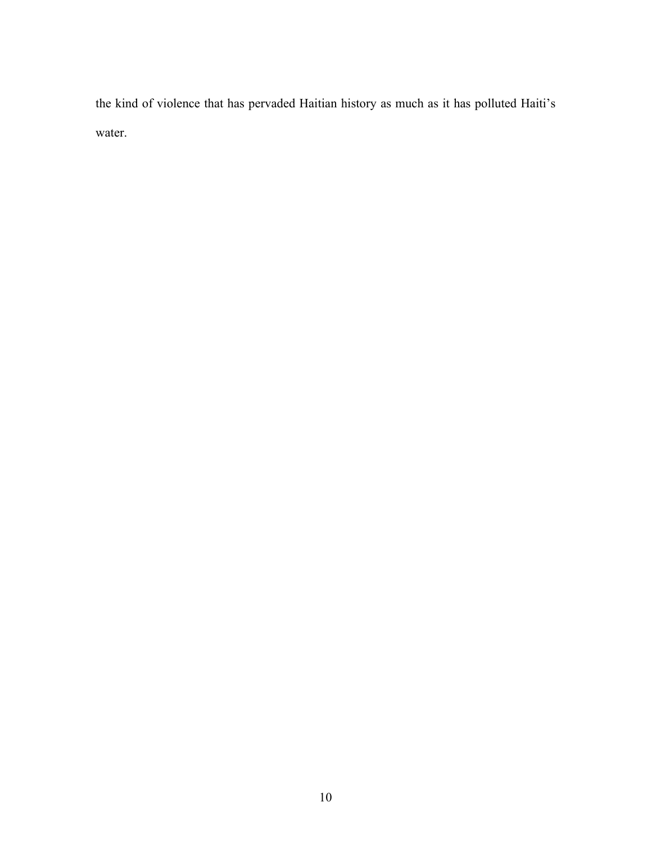the kind of violence that has pervaded Haitian history as much as it has polluted Haiti's water.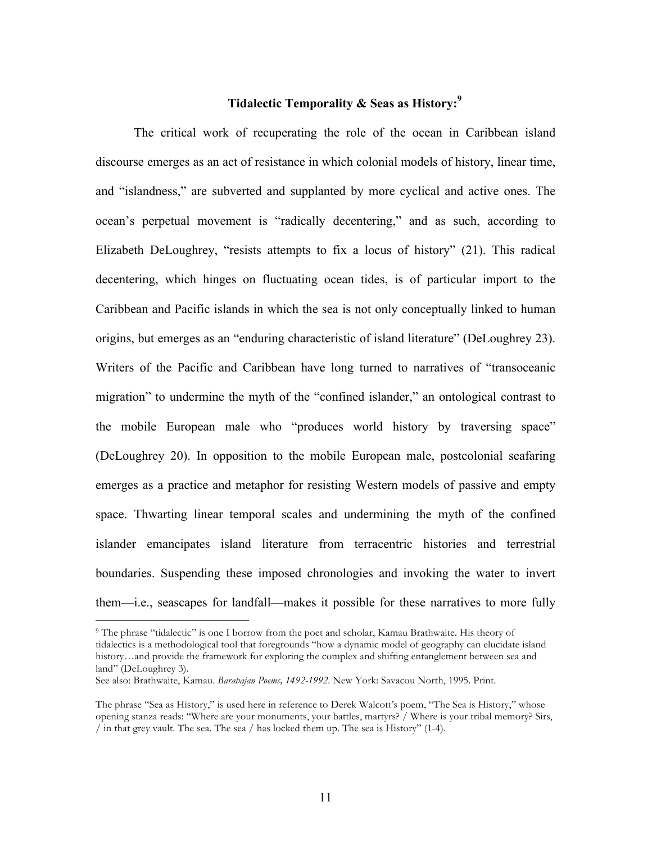## **Tidalectic Temporality & Seas as History:<sup>9</sup>**

The critical work of recuperating the role of the ocean in Caribbean island discourse emerges as an act of resistance in which colonial models of history, linear time, and "islandness," are subverted and supplanted by more cyclical and active ones. The ocean's perpetual movement is "radically decentering," and as such, according to Elizabeth DeLoughrey, "resists attempts to fix a locus of history" (21). This radical decentering, which hinges on fluctuating ocean tides, is of particular import to the Caribbean and Pacific islands in which the sea is not only conceptually linked to human origins, but emerges as an "enduring characteristic of island literature" (DeLoughrey 23). Writers of the Pacific and Caribbean have long turned to narratives of "transoceanic migration" to undermine the myth of the "confined islander," an ontological contrast to the mobile European male who "produces world history by traversing space" (DeLoughrey 20). In opposition to the mobile European male, postcolonial seafaring emerges as a practice and metaphor for resisting Western models of passive and empty space. Thwarting linear temporal scales and undermining the myth of the confined islander emancipates island literature from terracentric histories and terrestrial boundaries. Suspending these imposed chronologies and invoking the water to invert them—i.e., seascapes for landfall—makes it possible for these narratives to more fully

<sup>&</sup>lt;sup>9</sup> The phrase "tidalectic" is one I borrow from the poet and scholar, Kamau Brathwaite. His theory of tidalectics is a methodological tool that foregrounds "how a dynamic model of geography can elucidate island history…and provide the framework for exploring the complex and shifting entanglement between sea and land" (DeLoughrey 3).

See also: Brathwaite, Kamau. *Barabajan Poems, 1492-1992*. New York: Savacou North, 1995. Print.

The phrase "Sea as History," is used here in reference to Derek Walcott's poem, "The Sea is History," whose opening stanza reads: "Where are your monuments, your battles, martyrs? / Where is your tribal memory? Sirs, / in that grey vault. The sea. The sea / has locked them up. The sea is History" (1-4).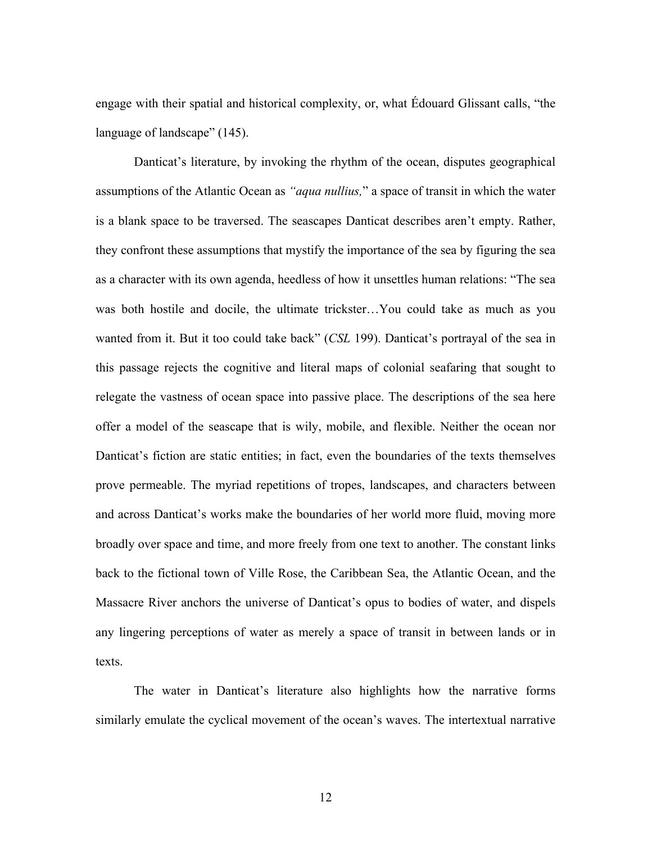engage with their spatial and historical complexity, or, what Édouard Glissant calls, "the language of landscape" (145).

Danticat's literature, by invoking the rhythm of the ocean, disputes geographical assumptions of the Atlantic Ocean as *"aqua nullius,*" a space of transit in which the water is a blank space to be traversed. The seascapes Danticat describes aren't empty. Rather, they confront these assumptions that mystify the importance of the sea by figuring the sea as a character with its own agenda, heedless of how it unsettles human relations: "The sea was both hostile and docile, the ultimate trickster…You could take as much as you wanted from it. But it too could take back" (*CSL* 199). Danticat's portrayal of the sea in this passage rejects the cognitive and literal maps of colonial seafaring that sought to relegate the vastness of ocean space into passive place. The descriptions of the sea here offer a model of the seascape that is wily, mobile, and flexible. Neither the ocean nor Danticat's fiction are static entities; in fact, even the boundaries of the texts themselves prove permeable. The myriad repetitions of tropes, landscapes, and characters between and across Danticat's works make the boundaries of her world more fluid, moving more broadly over space and time, and more freely from one text to another. The constant links back to the fictional town of Ville Rose, the Caribbean Sea, the Atlantic Ocean, and the Massacre River anchors the universe of Danticat's opus to bodies of water, and dispels any lingering perceptions of water as merely a space of transit in between lands or in texts.

The water in Danticat's literature also highlights how the narrative forms similarly emulate the cyclical movement of the ocean's waves. The intertextual narrative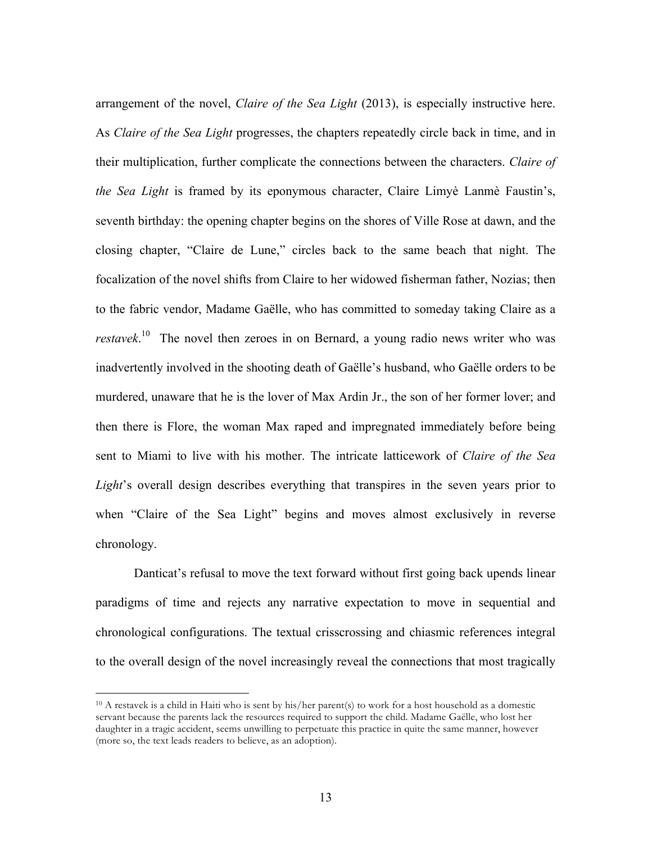arrangement of the novel, *Claire of the Sea Light* (2013), is especially instructive here. As *Claire of the Sea Light* progresses, the chapters repeatedly circle back in time, and in their multiplication, further complicate the connections between the characters. *Claire of the Sea Light* is framed by its eponymous character, Claire Limyè Lanmè Faustin's, seventh birthday: the opening chapter begins on the shores of Ville Rose at dawn, and the closing chapter, "Claire de Lune," circles back to the same beach that night. The focalization of the novel shifts from Claire to her widowed fisherman father, Nozias; then to the fabric vendor, Madame Gaëlle, who has committed to someday taking Claire as a *restavek*. 10 The novel then zeroes in on Bernard, a young radio news writer who was inadvertently involved in the shooting death of Gaëlle's husband, who Gaëlle orders to be murdered, unaware that he is the lover of Max Ardin Jr., the son of her former lover; and then there is Flore, the woman Max raped and impregnated immediately before being sent to Miami to live with his mother. The intricate latticework of *Claire of the Sea Light*'s overall design describes everything that transpires in the seven years prior to when "Claire of the Sea Light" begins and moves almost exclusively in reverse chronology.

Danticat's refusal to move the text forward without first going back upends linear paradigms of time and rejects any narrative expectation to move in sequential and chronological configurations. The textual crisscrossing and chiasmic references integral to the overall design of the novel increasingly reveal the connections that most tragically

<sup>10</sup> A restavek is a child in Haiti who is sent by his/her parent(s) to work for a host household as a domestic servant because the parents lack the resources required to support the child. Madame Gaëlle, who lost her daughter in a tragic accident, seems unwilling to perpetuate this practice in quite the same manner, however (more so, the text leads readers to believe, as an adoption).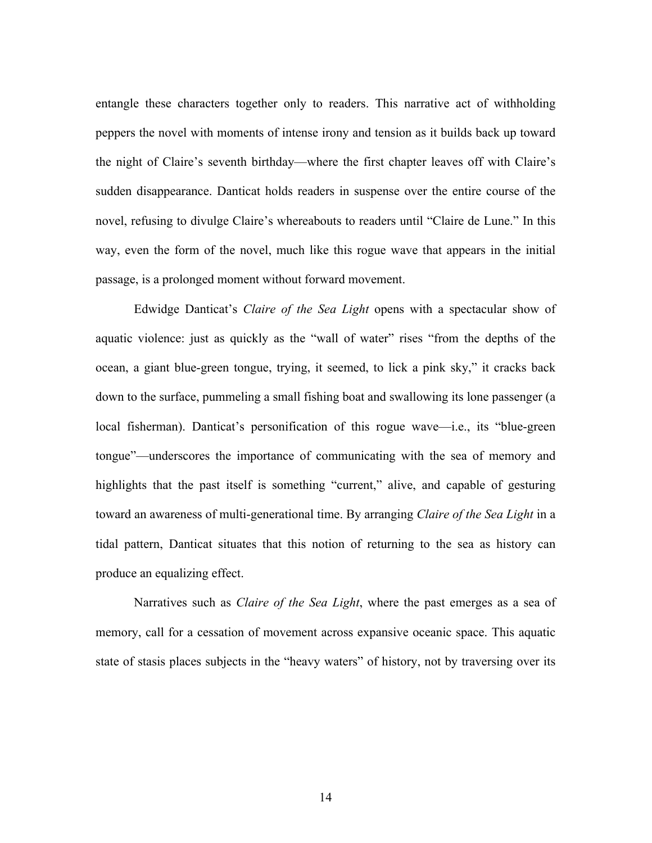entangle these characters together only to readers. This narrative act of withholding peppers the novel with moments of intense irony and tension as it builds back up toward the night of Claire's seventh birthday—where the first chapter leaves off with Claire's sudden disappearance. Danticat holds readers in suspense over the entire course of the novel, refusing to divulge Claire's whereabouts to readers until "Claire de Lune." In this way, even the form of the novel, much like this rogue wave that appears in the initial passage, is a prolonged moment without forward movement.

Edwidge Danticat's *Claire of the Sea Light* opens with a spectacular show of aquatic violence: just as quickly as the "wall of water" rises "from the depths of the ocean, a giant blue-green tongue, trying, it seemed, to lick a pink sky," it cracks back down to the surface, pummeling a small fishing boat and swallowing its lone passenger (a local fisherman). Danticat's personification of this rogue wave—i.e., its "blue-green tongue"—underscores the importance of communicating with the sea of memory and highlights that the past itself is something "current," alive, and capable of gesturing toward an awareness of multi-generational time. By arranging *Claire of the Sea Light* in a tidal pattern, Danticat situates that this notion of returning to the sea as history can produce an equalizing effect.

Narratives such as *Claire of the Sea Light*, where the past emerges as a sea of memory, call for a cessation of movement across expansive oceanic space. This aquatic state of stasis places subjects in the "heavy waters" of history, not by traversing over its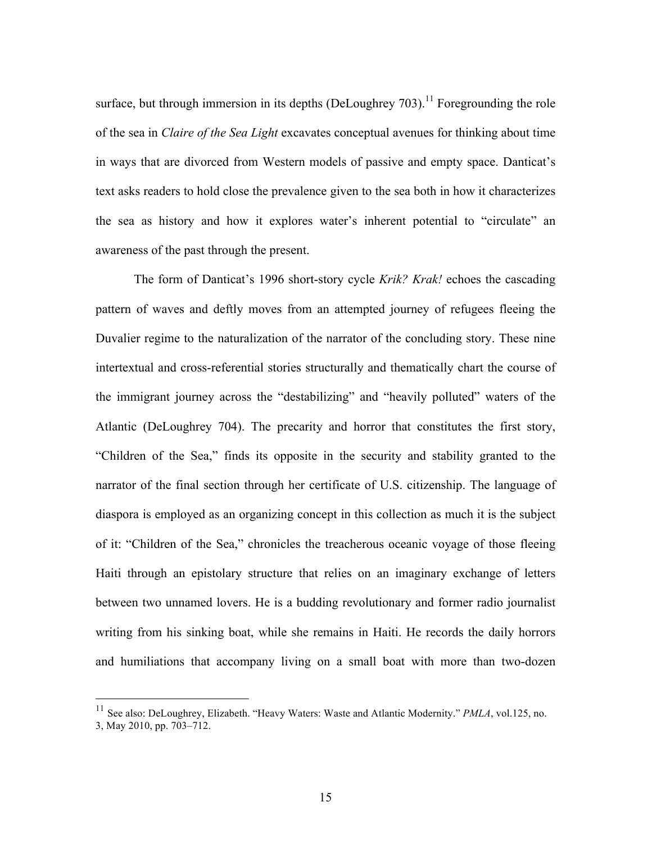surface, but through immersion in its depths (DeLoughrey 703).<sup>11</sup> Foregrounding the role of the sea in *Claire of the Sea Light* excavates conceptual avenues for thinking about time in ways that are divorced from Western models of passive and empty space. Danticat's text asks readers to hold close the prevalence given to the sea both in how it characterizes the sea as history and how it explores water's inherent potential to "circulate" an awareness of the past through the present.

The form of Danticat's 1996 short-story cycle *Krik? Krak!* echoes the cascading pattern of waves and deftly moves from an attempted journey of refugees fleeing the Duvalier regime to the naturalization of the narrator of the concluding story. These nine intertextual and cross-referential stories structurally and thematically chart the course of the immigrant journey across the "destabilizing" and "heavily polluted" waters of the Atlantic (DeLoughrey 704). The precarity and horror that constitutes the first story, "Children of the Sea," finds its opposite in the security and stability granted to the narrator of the final section through her certificate of U.S. citizenship. The language of diaspora is employed as an organizing concept in this collection as much it is the subject of it: "Children of the Sea," chronicles the treacherous oceanic voyage of those fleeing Haiti through an epistolary structure that relies on an imaginary exchange of letters between two unnamed lovers. He is a budding revolutionary and former radio journalist writing from his sinking boat, while she remains in Haiti. He records the daily horrors and humiliations that accompany living on a small boat with more than two-dozen

 <sup>11</sup> See also: DeLoughrey, Elizabeth. "Heavy Waters: Waste and Atlantic Modernity." *PMLA*, vol.125, no. 3, May 2010, pp. 703–712.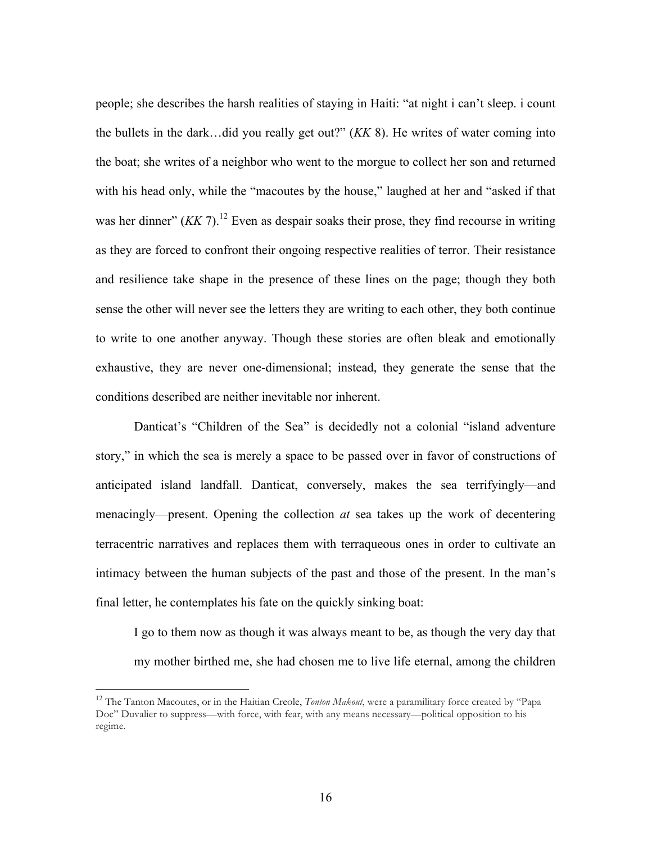people; she describes the harsh realities of staying in Haiti: "at night i can't sleep. i count the bullets in the dark…did you really get out?" (*KK* 8). He writes of water coming into the boat; she writes of a neighbor who went to the morgue to collect her son and returned with his head only, while the "macoutes by the house," laughed at her and "asked if that was her dinner"  $(KK 7)$ .<sup>12</sup> Even as despair soaks their prose, they find recourse in writing as they are forced to confront their ongoing respective realities of terror. Their resistance and resilience take shape in the presence of these lines on the page; though they both sense the other will never see the letters they are writing to each other, they both continue to write to one another anyway. Though these stories are often bleak and emotionally exhaustive, they are never one-dimensional; instead, they generate the sense that the conditions described are neither inevitable nor inherent.

Danticat's "Children of the Sea" is decidedly not a colonial "island adventure story," in which the sea is merely a space to be passed over in favor of constructions of anticipated island landfall. Danticat, conversely, makes the sea terrifyingly—and menacingly—present. Opening the collection *at* sea takes up the work of decentering terracentric narratives and replaces them with terraqueous ones in order to cultivate an intimacy between the human subjects of the past and those of the present. In the man's final letter, he contemplates his fate on the quickly sinking boat:

I go to them now as though it was always meant to be, as though the very day that my mother birthed me, she had chosen me to live life eternal, among the children

 <sup>12</sup> The Tanton Macoutes, or in the Haitian Creole, *Tonton Makout*, were a paramilitary force created by "Papa Doc" Duvalier to suppress—with force, with fear, with any means necessary—political opposition to his regime.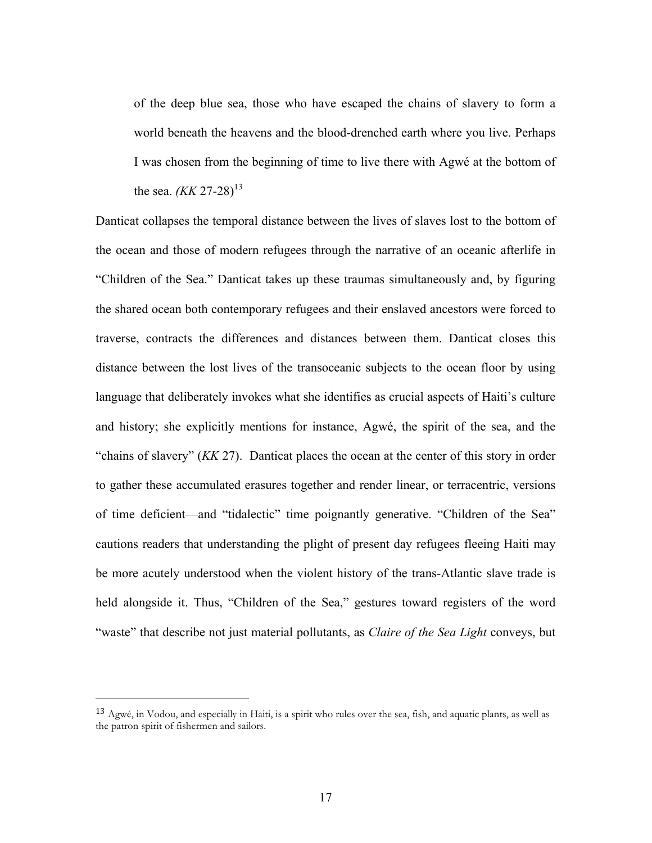of the deep blue sea, those who have escaped the chains of slavery to form a world beneath the heavens and the blood-drenched earth where you live. Perhaps I was chosen from the beginning of time to live there with Agwé at the bottom of the sea. *(KK* 27-28)<sup>13</sup>

Danticat collapses the temporal distance between the lives of slaves lost to the bottom of the ocean and those of modern refugees through the narrative of an oceanic afterlife in "Children of the Sea." Danticat takes up these traumas simultaneously and, by figuring the shared ocean both contemporary refugees and their enslaved ancestors were forced to traverse, contracts the differences and distances between them. Danticat closes this distance between the lost lives of the transoceanic subjects to the ocean floor by using language that deliberately invokes what she identifies as crucial aspects of Haiti's culture and history; she explicitly mentions for instance, Agwé, the spirit of the sea, and the "chains of slavery" (*KK* 27). Danticat places the ocean at the center of this story in order to gather these accumulated erasures together and render linear, or terracentric, versions of time deficient—and "tidalectic" time poignantly generative. "Children of the Sea" cautions readers that understanding the plight of present day refugees fleeing Haiti may be more acutely understood when the violent history of the trans-Atlantic slave trade is held alongside it. Thus, "Children of the Sea," gestures toward registers of the word "waste" that describe not just material pollutants, as *Claire of the Sea Light* conveys, but

 $13$  Agwé, in Vodou, and especially in Haiti, is a spirit who rules over the sea, fish, and aquatic plants, as well as the patron spirit of fishermen and sailors.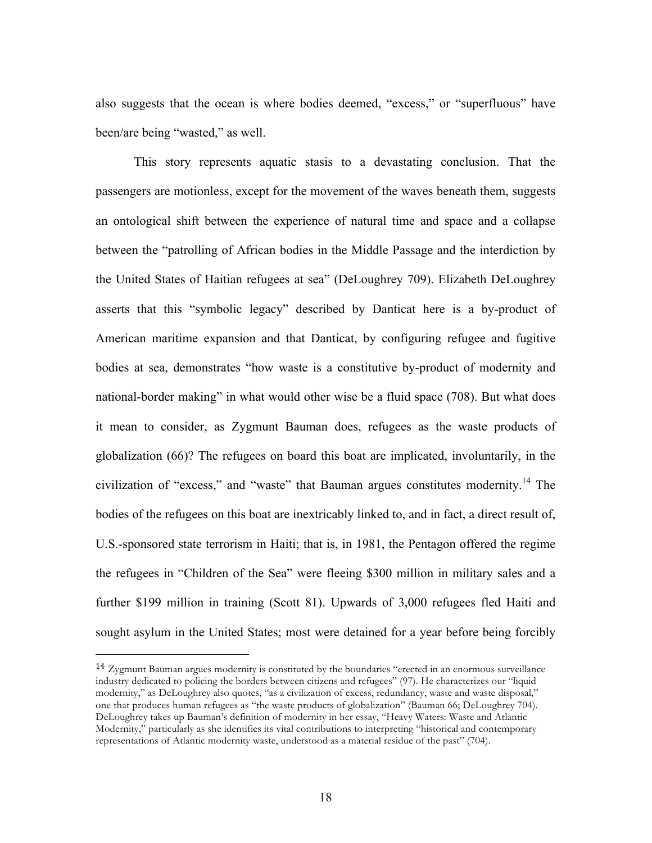also suggests that the ocean is where bodies deemed, "excess," or "superfluous" have been/are being "wasted," as well.

This story represents aquatic stasis to a devastating conclusion. That the passengers are motionless, except for the movement of the waves beneath them, suggests an ontological shift between the experience of natural time and space and a collapse between the "patrolling of African bodies in the Middle Passage and the interdiction by the United States of Haitian refugees at sea" (DeLoughrey 709). Elizabeth DeLoughrey asserts that this "symbolic legacy" described by Danticat here is a by-product of American maritime expansion and that Danticat, by configuring refugee and fugitive bodies at sea, demonstrates "how waste is a constitutive by-product of modernity and national-border making" in what would other wise be a fluid space (708). But what does it mean to consider, as Zygmunt Bauman does, refugees as the waste products of globalization (66)? The refugees on board this boat are implicated, involuntarily, in the civilization of "excess," and "waste" that Bauman argues constitutes modernity.<sup>14</sup> The bodies of the refugees on this boat are inextricably linked to, and in fact, a direct result of, U.S.-sponsored state terrorism in Haiti; that is, in 1981, the Pentagon offered the regime the refugees in "Children of the Sea" were fleeing \$300 million in military sales and a further \$199 million in training (Scott 81). Upwards of 3,000 refugees fled Haiti and sought asylum in the United States; most were detained for a year before being forcibly

<sup>14</sup> Zygmunt Bauman argues modernity is constituted by the boundaries "erected in an enormous surveillance industry dedicated to policing the borders between citizens and refugees" (97). He characterizes our "liquid modernity," as DeLoughrey also quotes, "as a civilization of excess, redundancy, waste and waste disposal," one that produces human refugees as "the waste products of globalization" (Bauman 66; DeLoughrey 704). DeLoughrey takes up Bauman's definition of modernity in her essay, "Heavy Waters: Waste and Atlantic Modernity," particularly as she identifies its vital contributions to interpreting "historical and contemporary representations of Atlantic modernity waste, understood as a material residue of the past" (704).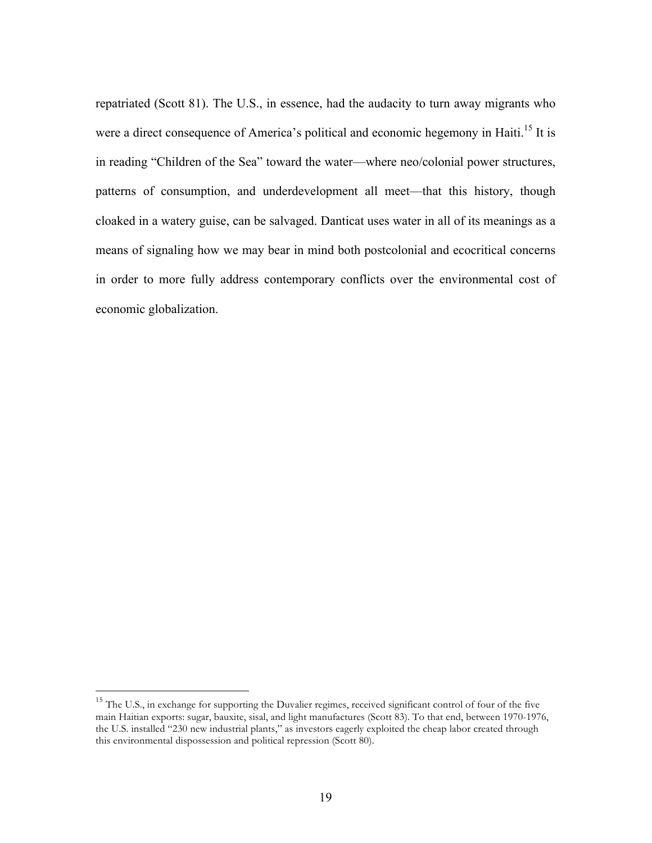repatriated (Scott 81). The U.S., in essence, had the audacity to turn away migrants who were a direct consequence of America's political and economic hegemony in Haiti.<sup>15</sup> It is in reading "Children of the Sea" toward the water—where neo/colonial power structures, patterns of consumption, and underdevelopment all meet—that this history, though cloaked in a watery guise, can be salvaged. Danticat uses water in all of its meanings as a means of signaling how we may bear in mind both postcolonial and ecocritical concerns in order to more fully address contemporary conflicts over the environmental cost of economic globalization.

<sup>&</sup>lt;sup>15</sup> The U.S., in exchange for supporting the Duvalier regimes, received significant control of four of the five main Haitian exports: sugar, bauxite, sisal, and light manufactures (Scott 83). To that end, between 1970-1976, the U.S. installed "230 new industrial plants," as investors eagerly exploited the cheap labor created through this environmental dispossession and political repression (Scott 80).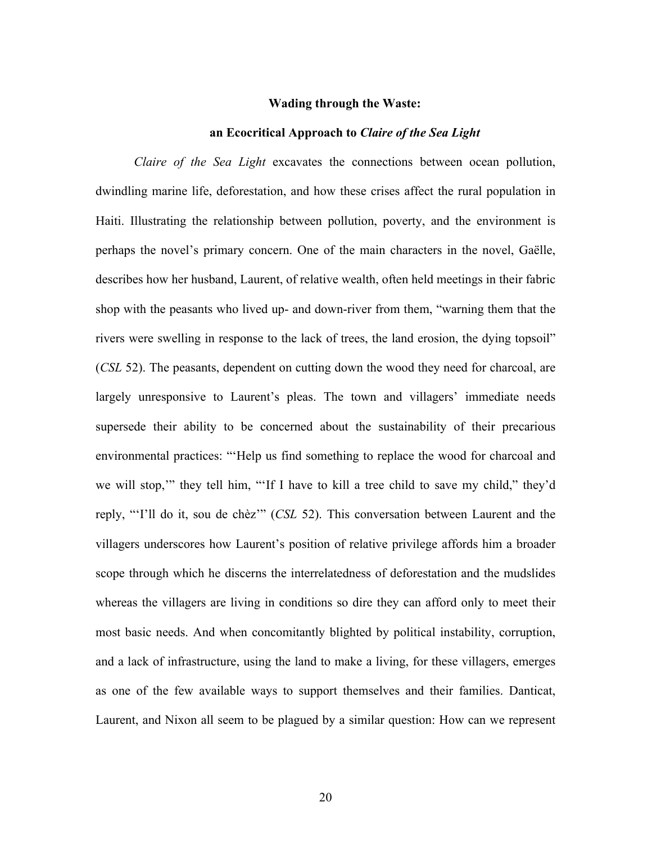#### **Wading through the Waste:**

#### **an Ecocritical Approach to** *Claire of the Sea Light*

*Claire of the Sea Light* excavates the connections between ocean pollution, dwindling marine life, deforestation, and how these crises affect the rural population in Haiti. Illustrating the relationship between pollution, poverty, and the environment is perhaps the novel's primary concern. One of the main characters in the novel, Gaëlle, describes how her husband, Laurent, of relative wealth, often held meetings in their fabric shop with the peasants who lived up- and down-river from them, "warning them that the rivers were swelling in response to the lack of trees, the land erosion, the dying topsoil" (*CSL* 52). The peasants, dependent on cutting down the wood they need for charcoal, are largely unresponsive to Laurent's pleas. The town and villagers' immediate needs supersede their ability to be concerned about the sustainability of their precarious environmental practices: "'Help us find something to replace the wood for charcoal and we will stop,'" they tell him, "'If I have to kill a tree child to save my child," they'd reply, "'I'll do it, sou de chèz'" (*CSL* 52). This conversation between Laurent and the villagers underscores how Laurent's position of relative privilege affords him a broader scope through which he discerns the interrelatedness of deforestation and the mudslides whereas the villagers are living in conditions so dire they can afford only to meet their most basic needs. And when concomitantly blighted by political instability, corruption, and a lack of infrastructure, using the land to make a living, for these villagers, emerges as one of the few available ways to support themselves and their families. Danticat, Laurent, and Nixon all seem to be plagued by a similar question: How can we represent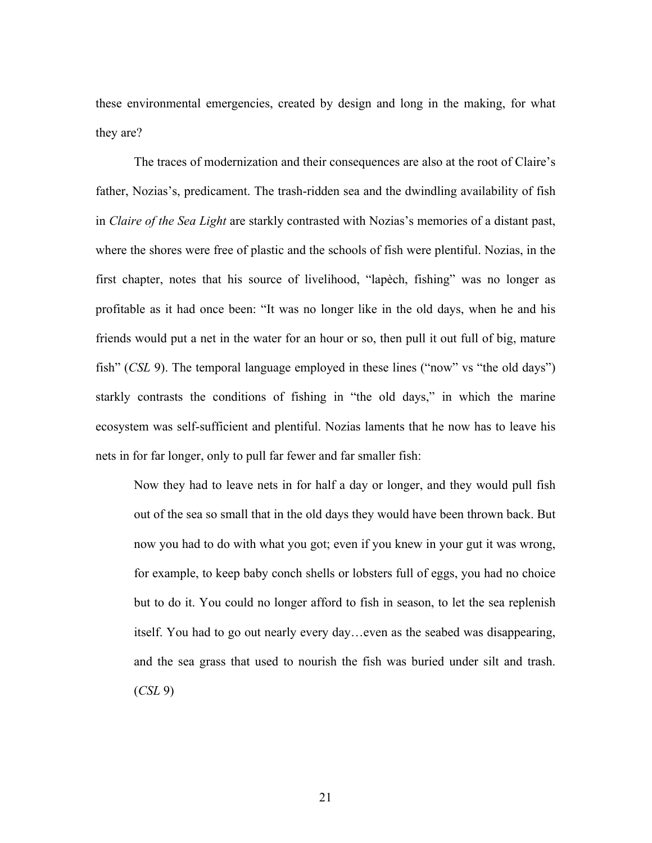these environmental emergencies, created by design and long in the making, for what they are?

The traces of modernization and their consequences are also at the root of Claire's father, Nozias's, predicament. The trash-ridden sea and the dwindling availability of fish in *Claire of the Sea Light* are starkly contrasted with Nozias's memories of a distant past, where the shores were free of plastic and the schools of fish were plentiful. Nozias, in the first chapter, notes that his source of livelihood, "lapèch, fishing" was no longer as profitable as it had once been: "It was no longer like in the old days, when he and his friends would put a net in the water for an hour or so, then pull it out full of big, mature fish" (*CSL* 9). The temporal language employed in these lines ("now" vs "the old days") starkly contrasts the conditions of fishing in "the old days," in which the marine ecosystem was self-sufficient and plentiful. Nozias laments that he now has to leave his nets in for far longer, only to pull far fewer and far smaller fish:

Now they had to leave nets in for half a day or longer, and they would pull fish out of the sea so small that in the old days they would have been thrown back. But now you had to do with what you got; even if you knew in your gut it was wrong, for example, to keep baby conch shells or lobsters full of eggs, you had no choice but to do it. You could no longer afford to fish in season, to let the sea replenish itself. You had to go out nearly every day…even as the seabed was disappearing, and the sea grass that used to nourish the fish was buried under silt and trash. (*CSL* 9)

21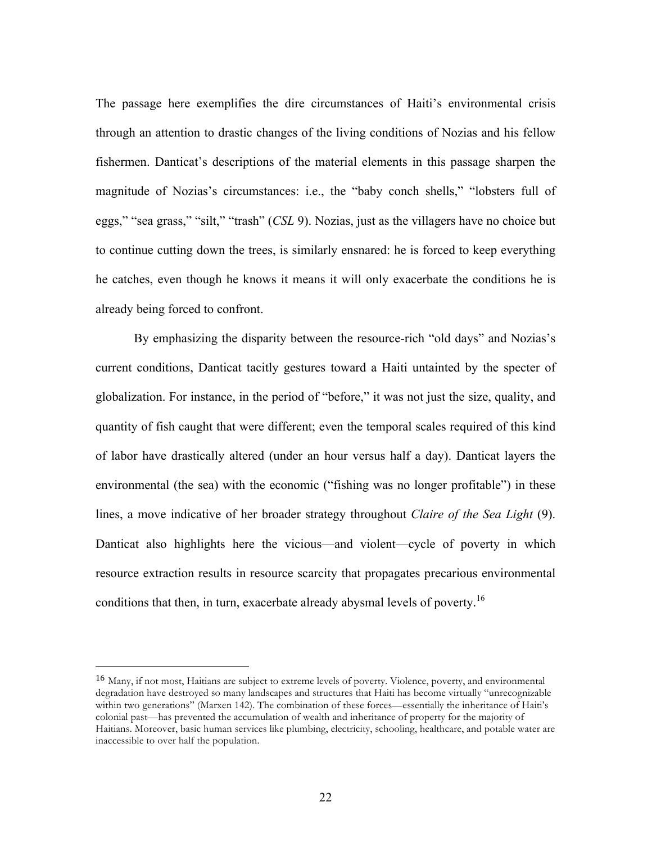The passage here exemplifies the dire circumstances of Haiti's environmental crisis through an attention to drastic changes of the living conditions of Nozias and his fellow fishermen. Danticat's descriptions of the material elements in this passage sharpen the magnitude of Nozias's circumstances: i.e., the "baby conch shells," "lobsters full of eggs," "sea grass," "silt," "trash" (*CSL* 9). Nozias, just as the villagers have no choice but to continue cutting down the trees, is similarly ensnared: he is forced to keep everything he catches, even though he knows it means it will only exacerbate the conditions he is already being forced to confront.

By emphasizing the disparity between the resource-rich "old days" and Nozias's current conditions, Danticat tacitly gestures toward a Haiti untainted by the specter of globalization. For instance, in the period of "before," it was not just the size, quality, and quantity of fish caught that were different; even the temporal scales required of this kind of labor have drastically altered (under an hour versus half a day). Danticat layers the environmental (the sea) with the economic ("fishing was no longer profitable") in these lines, a move indicative of her broader strategy throughout *Claire of the Sea Light* (9). Danticat also highlights here the vicious—and violent—cycle of poverty in which resource extraction results in resource scarcity that propagates precarious environmental conditions that then, in turn, exacerbate already abysmal levels of poverty.<sup>16</sup>

<sup>16</sup> Many, if not most, Haitians are subject to extreme levels of poverty. Violence, poverty, and environmental degradation have destroyed so many landscapes and structures that Haiti has become virtually "unrecognizable within two generations" (Marxen 142). The combination of these forces—essentially the inheritance of Haiti's colonial past—has prevented the accumulation of wealth and inheritance of property for the majority of Haitians. Moreover, basic human services like plumbing, electricity, schooling, healthcare, and potable water are inaccessible to over half the population.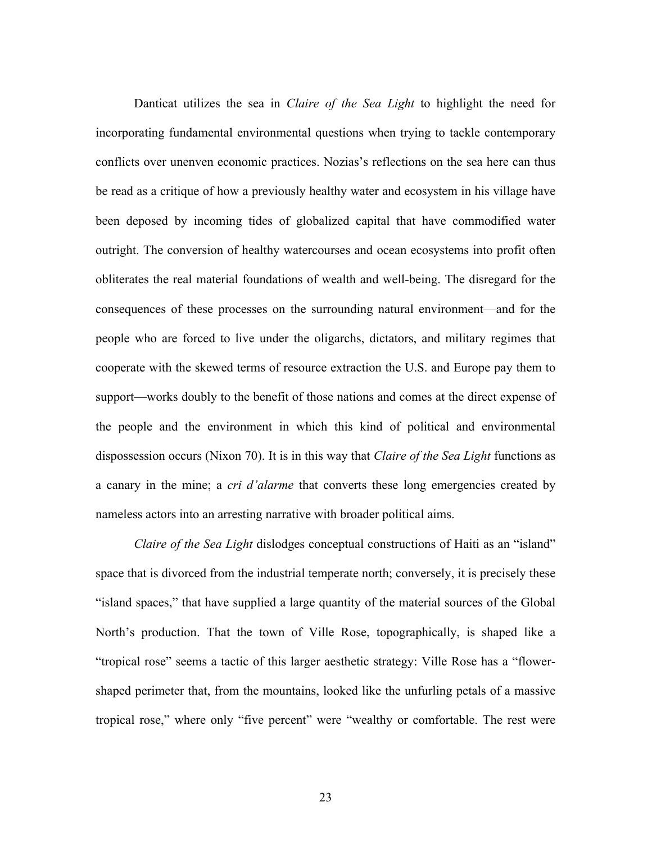Danticat utilizes the sea in *Claire of the Sea Light* to highlight the need for incorporating fundamental environmental questions when trying to tackle contemporary conflicts over unenven economic practices. Nozias's reflections on the sea here can thus be read as a critique of how a previously healthy water and ecosystem in his village have been deposed by incoming tides of globalized capital that have commodified water outright. The conversion of healthy watercourses and ocean ecosystems into profit often obliterates the real material foundations of wealth and well-being. The disregard for the consequences of these processes on the surrounding natural environment—and for the people who are forced to live under the oligarchs, dictators, and military regimes that cooperate with the skewed terms of resource extraction the U.S. and Europe pay them to support—works doubly to the benefit of those nations and comes at the direct expense of the people and the environment in which this kind of political and environmental dispossession occurs (Nixon 70). It is in this way that *Claire of the Sea Light* functions as a canary in the mine; a *cri d'alarme* that converts these long emergencies created by nameless actors into an arresting narrative with broader political aims.

*Claire of the Sea Light* dislodges conceptual constructions of Haiti as an "island" space that is divorced from the industrial temperate north; conversely, it is precisely these "island spaces," that have supplied a large quantity of the material sources of the Global North's production. That the town of Ville Rose, topographically, is shaped like a "tropical rose" seems a tactic of this larger aesthetic strategy: Ville Rose has a "flowershaped perimeter that, from the mountains, looked like the unfurling petals of a massive tropical rose," where only "five percent" were "wealthy or comfortable. The rest were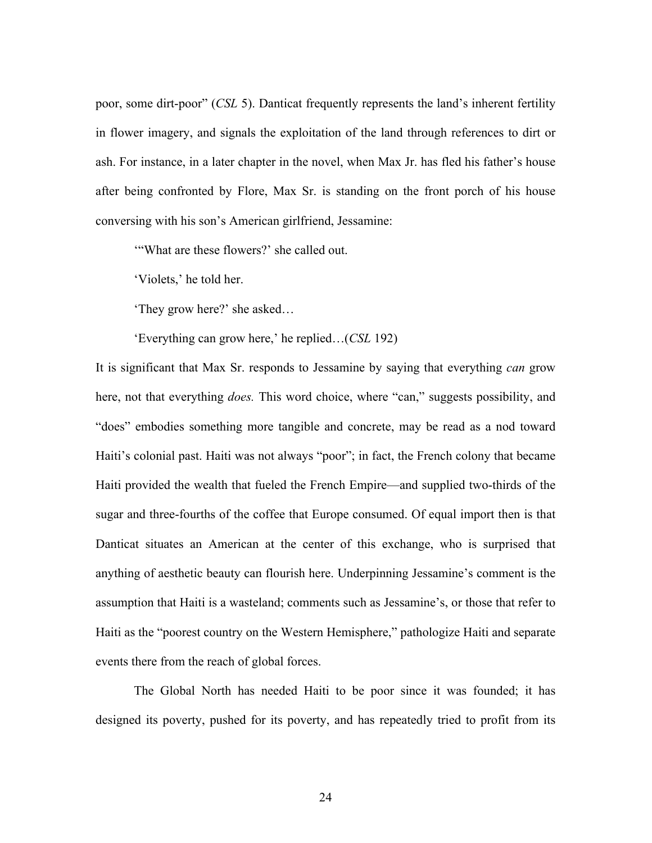poor, some dirt-poor" (*CSL* 5). Danticat frequently represents the land's inherent fertility in flower imagery, and signals the exploitation of the land through references to dirt or ash. For instance, in a later chapter in the novel, when Max Jr. has fled his father's house after being confronted by Flore, Max Sr. is standing on the front porch of his house conversing with his son's American girlfriend, Jessamine:

'"What are these flowers?' she called out.

'Violets,' he told her.

'They grow here?' she asked…

'Everything can grow here,' he replied…(*CSL* 192)

It is significant that Max Sr. responds to Jessamine by saying that everything *can* grow here, not that everything *does.* This word choice, where "can," suggests possibility, and "does" embodies something more tangible and concrete, may be read as a nod toward Haiti's colonial past. Haiti was not always "poor"; in fact, the French colony that became Haiti provided the wealth that fueled the French Empire—and supplied two-thirds of the sugar and three-fourths of the coffee that Europe consumed. Of equal import then is that Danticat situates an American at the center of this exchange, who is surprised that anything of aesthetic beauty can flourish here. Underpinning Jessamine's comment is the assumption that Haiti is a wasteland; comments such as Jessamine's, or those that refer to Haiti as the "poorest country on the Western Hemisphere," pathologize Haiti and separate events there from the reach of global forces.

The Global North has needed Haiti to be poor since it was founded; it has designed its poverty, pushed for its poverty, and has repeatedly tried to profit from its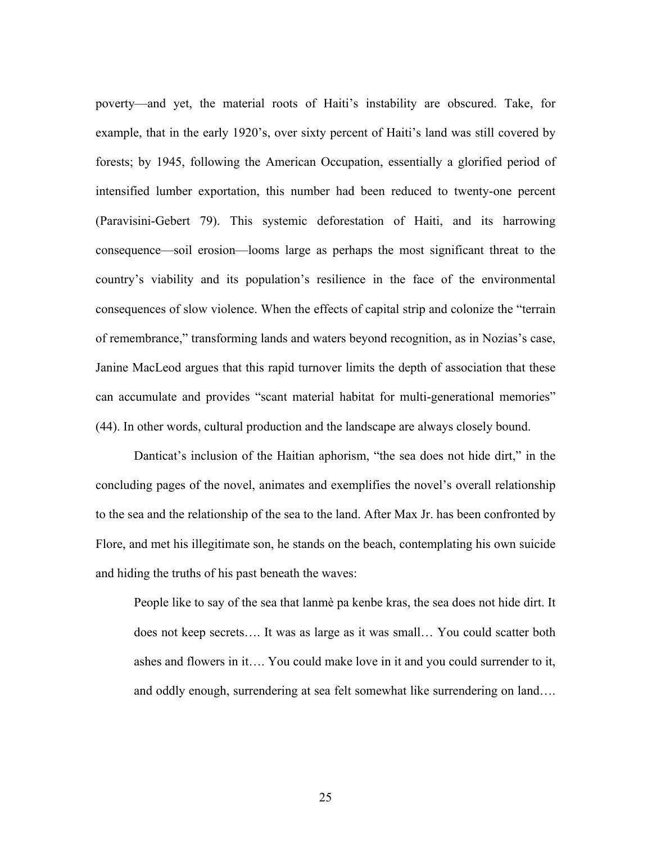poverty—and yet, the material roots of Haiti's instability are obscured. Take, for example, that in the early 1920's, over sixty percent of Haiti's land was still covered by forests; by 1945, following the American Occupation, essentially a glorified period of intensified lumber exportation, this number had been reduced to twenty-one percent (Paravisini-Gebert 79). This systemic deforestation of Haiti, and its harrowing consequence—soil erosion—looms large as perhaps the most significant threat to the country's viability and its population's resilience in the face of the environmental consequences of slow violence. When the effects of capital strip and colonize the "terrain of remembrance," transforming lands and waters beyond recognition, as in Nozias's case, Janine MacLeod argues that this rapid turnover limits the depth of association that these can accumulate and provides "scant material habitat for multi-generational memories" (44). In other words, cultural production and the landscape are always closely bound.

Danticat's inclusion of the Haitian aphorism, "the sea does not hide dirt," in the concluding pages of the novel, animates and exemplifies the novel's overall relationship to the sea and the relationship of the sea to the land. After Max Jr. has been confronted by Flore, and met his illegitimate son, he stands on the beach, contemplating his own suicide and hiding the truths of his past beneath the waves:

People like to say of the sea that lanmè pa kenbe kras, the sea does not hide dirt. It does not keep secrets…. It was as large as it was small… You could scatter both ashes and flowers in it…. You could make love in it and you could surrender to it, and oddly enough, surrendering at sea felt somewhat like surrendering on land….

25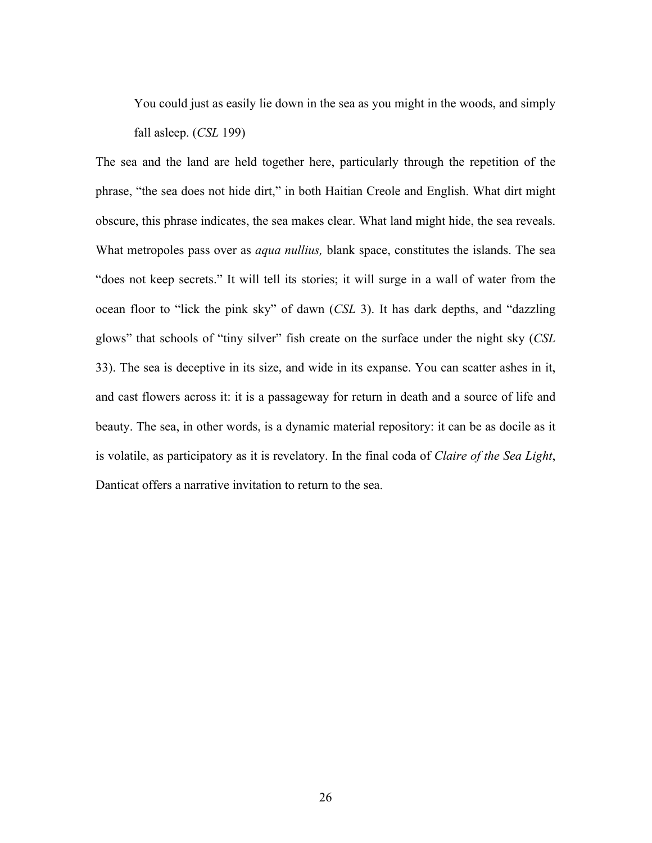You could just as easily lie down in the sea as you might in the woods, and simply fall asleep. (*CSL* 199)

The sea and the land are held together here, particularly through the repetition of the phrase, "the sea does not hide dirt," in both Haitian Creole and English. What dirt might obscure, this phrase indicates, the sea makes clear. What land might hide, the sea reveals. What metropoles pass over as *aqua nullius,* blank space, constitutes the islands. The sea "does not keep secrets." It will tell its stories; it will surge in a wall of water from the ocean floor to "lick the pink sky" of dawn (*CSL* 3). It has dark depths, and "dazzling glows" that schools of "tiny silver" fish create on the surface under the night sky (*CSL*  33). The sea is deceptive in its size, and wide in its expanse. You can scatter ashes in it, and cast flowers across it: it is a passageway for return in death and a source of life and beauty. The sea, in other words, is a dynamic material repository: it can be as docile as it is volatile, as participatory as it is revelatory. In the final coda of *Claire of the Sea Light*, Danticat offers a narrative invitation to return to the sea.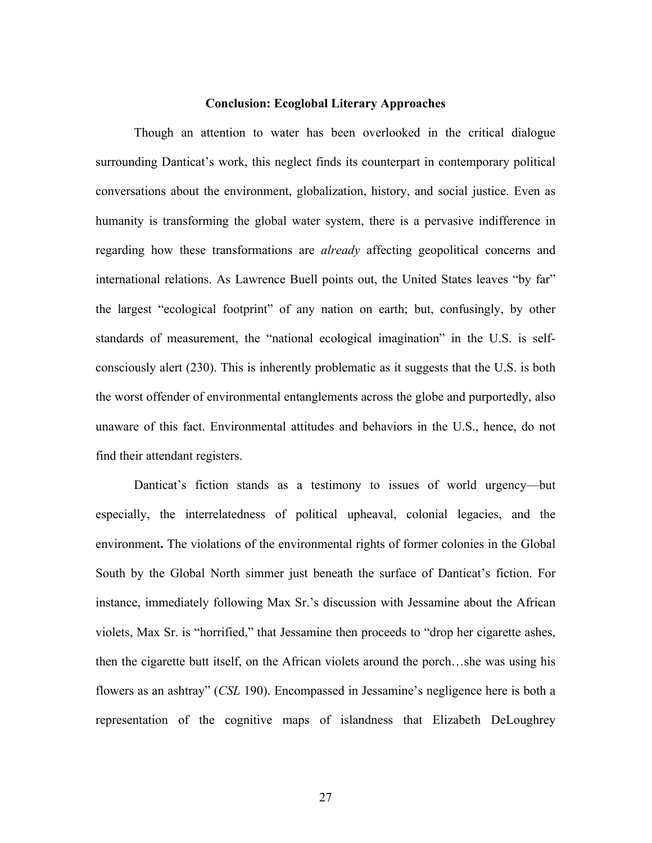#### **Conclusion: Ecoglobal Literary Approaches**

Though an attention to water has been overlooked in the critical dialogue surrounding Danticat's work, this neglect finds its counterpart in contemporary political conversations about the environment, globalization, history, and social justice. Even as humanity is transforming the global water system, there is a pervasive indifference in regarding how these transformations are *already* affecting geopolitical concerns and international relations. As Lawrence Buell points out, the United States leaves "by far" the largest "ecological footprint" of any nation on earth; but, confusingly, by other standards of measurement, the "national ecological imagination" in the U.S. is selfconsciously alert (230). This is inherently problematic as it suggests that the U.S. is both the worst offender of environmental entanglements across the globe and purportedly, also unaware of this fact. Environmental attitudes and behaviors in the U.S., hence, do not find their attendant registers.

Danticat's fiction stands as a testimony to issues of world urgency—but especially, the interrelatedness of political upheaval, colonial legacies, and the environment**.** The violations of the environmental rights of former colonies in the Global South by the Global North simmer just beneath the surface of Danticat's fiction. For instance, immediately following Max Sr.'s discussion with Jessamine about the African violets, Max Sr. is "horrified," that Jessamine then proceeds to "drop her cigarette ashes, then the cigarette butt itself, on the African violets around the porch…she was using his flowers as an ashtray" (*CSL* 190). Encompassed in Jessamine's negligence here is both a representation of the cognitive maps of islandness that Elizabeth DeLoughrey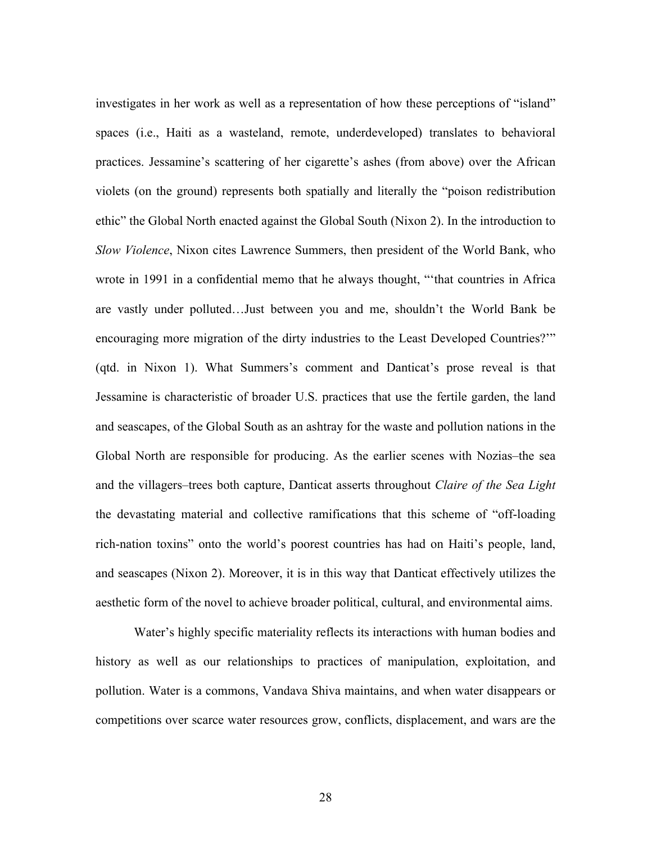investigates in her work as well as a representation of how these perceptions of "island" spaces (i.e., Haiti as a wasteland, remote, underdeveloped) translates to behavioral practices. Jessamine's scattering of her cigarette's ashes (from above) over the African violets (on the ground) represents both spatially and literally the "poison redistribution ethic" the Global North enacted against the Global South (Nixon 2). In the introduction to *Slow Violence*, Nixon cites Lawrence Summers, then president of the World Bank, who wrote in 1991 in a confidential memo that he always thought, "'that countries in Africa are vastly under polluted…Just between you and me, shouldn't the World Bank be encouraging more migration of the dirty industries to the Least Developed Countries?'" (qtd. in Nixon 1). What Summers's comment and Danticat's prose reveal is that Jessamine is characteristic of broader U.S. practices that use the fertile garden, the land and seascapes, of the Global South as an ashtray for the waste and pollution nations in the Global North are responsible for producing. As the earlier scenes with Nozias–the sea and the villagers–trees both capture, Danticat asserts throughout *Claire of the Sea Light* the devastating material and collective ramifications that this scheme of "off-loading rich-nation toxins" onto the world's poorest countries has had on Haiti's people, land, and seascapes (Nixon 2). Moreover, it is in this way that Danticat effectively utilizes the aesthetic form of the novel to achieve broader political, cultural, and environmental aims.

Water's highly specific materiality reflects its interactions with human bodies and history as well as our relationships to practices of manipulation, exploitation, and pollution. Water is a commons, Vandava Shiva maintains, and when water disappears or competitions over scarce water resources grow, conflicts, displacement, and wars are the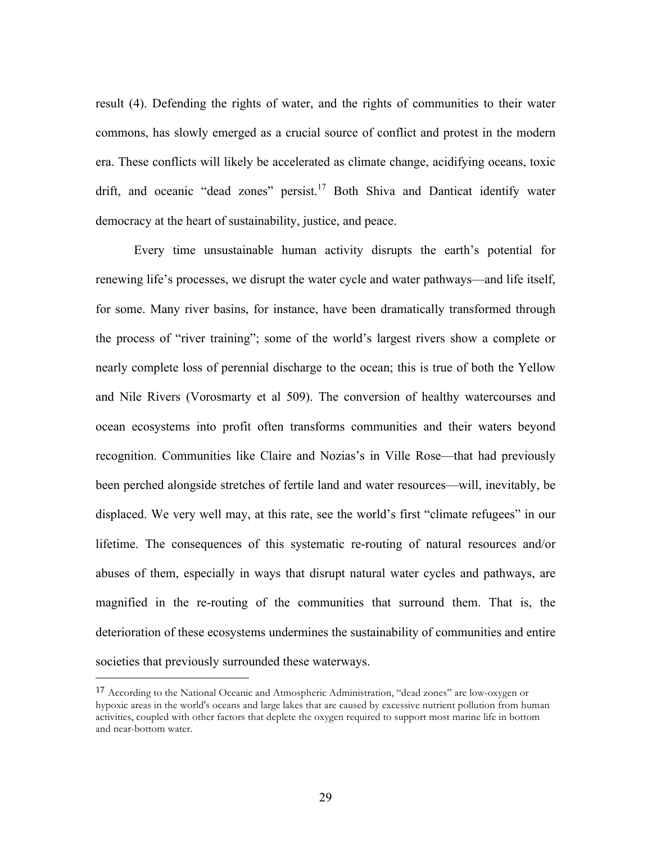result (4). Defending the rights of water, and the rights of communities to their water commons, has slowly emerged as a crucial source of conflict and protest in the modern era. These conflicts will likely be accelerated as climate change, acidifying oceans, toxic drift, and oceanic "dead zones" persist.<sup>17</sup> Both Shiva and Danticat identify water democracy at the heart of sustainability, justice, and peace.

Every time unsustainable human activity disrupts the earth's potential for renewing life's processes, we disrupt the water cycle and water pathways—and life itself, for some. Many river basins, for instance, have been dramatically transformed through the process of "river training"; some of the world's largest rivers show a complete or nearly complete loss of perennial discharge to the ocean; this is true of both the Yellow and Nile Rivers (Vorosmarty et al 509). The conversion of healthy watercourses and ocean ecosystems into profit often transforms communities and their waters beyond recognition. Communities like Claire and Nozias's in Ville Rose—that had previously been perched alongside stretches of fertile land and water resources—will, inevitably, be displaced. We very well may, at this rate, see the world's first "climate refugees" in our lifetime. The consequences of this systematic re-routing of natural resources and/or abuses of them, especially in ways that disrupt natural water cycles and pathways, are magnified in the re-routing of the communities that surround them. That is, the deterioration of these ecosystems undermines the sustainability of communities and entire societies that previously surrounded these waterways.

<sup>&</sup>lt;sup>17</sup> According to the National Oceanic and Atmospheric Administration, "dead zones" are low-oxygen or hypoxic areas in the world's oceans and large lakes that are caused by excessive nutrient pollution from human activities, coupled with other factors that deplete the oxygen required to support most marine life in bottom and near-bottom water.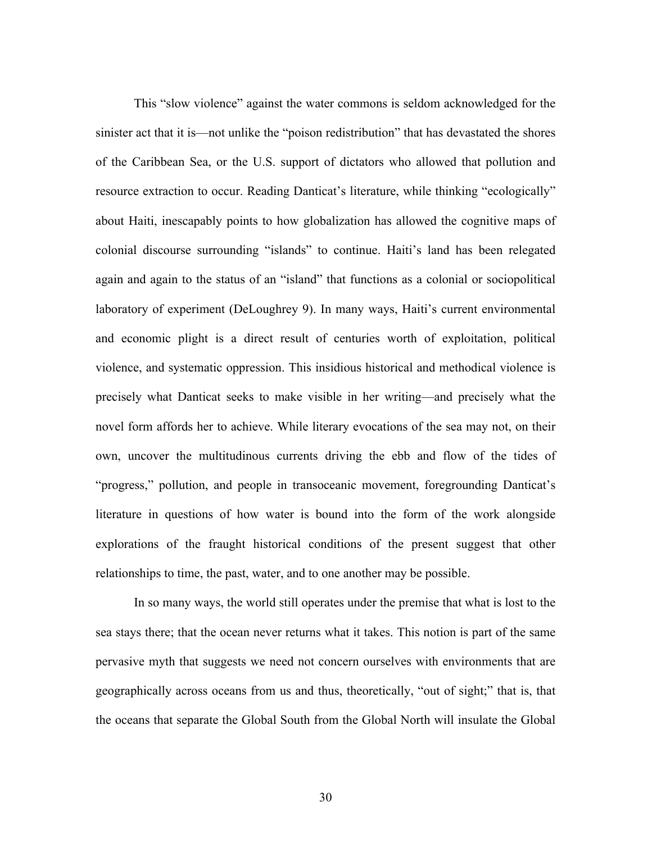This "slow violence" against the water commons is seldom acknowledged for the sinister act that it is—not unlike the "poison redistribution" that has devastated the shores of the Caribbean Sea, or the U.S. support of dictators who allowed that pollution and resource extraction to occur. Reading Danticat's literature, while thinking "ecologically" about Haiti, inescapably points to how globalization has allowed the cognitive maps of colonial discourse surrounding "islands" to continue. Haiti's land has been relegated again and again to the status of an "island" that functions as a colonial or sociopolitical laboratory of experiment (DeLoughrey 9). In many ways, Haiti's current environmental and economic plight is a direct result of centuries worth of exploitation, political violence, and systematic oppression. This insidious historical and methodical violence is precisely what Danticat seeks to make visible in her writing—and precisely what the novel form affords her to achieve. While literary evocations of the sea may not, on their own, uncover the multitudinous currents driving the ebb and flow of the tides of "progress," pollution, and people in transoceanic movement, foregrounding Danticat's literature in questions of how water is bound into the form of the work alongside explorations of the fraught historical conditions of the present suggest that other relationships to time, the past, water, and to one another may be possible.

In so many ways, the world still operates under the premise that what is lost to the sea stays there; that the ocean never returns what it takes. This notion is part of the same pervasive myth that suggests we need not concern ourselves with environments that are geographically across oceans from us and thus, theoretically, "out of sight;" that is, that the oceans that separate the Global South from the Global North will insulate the Global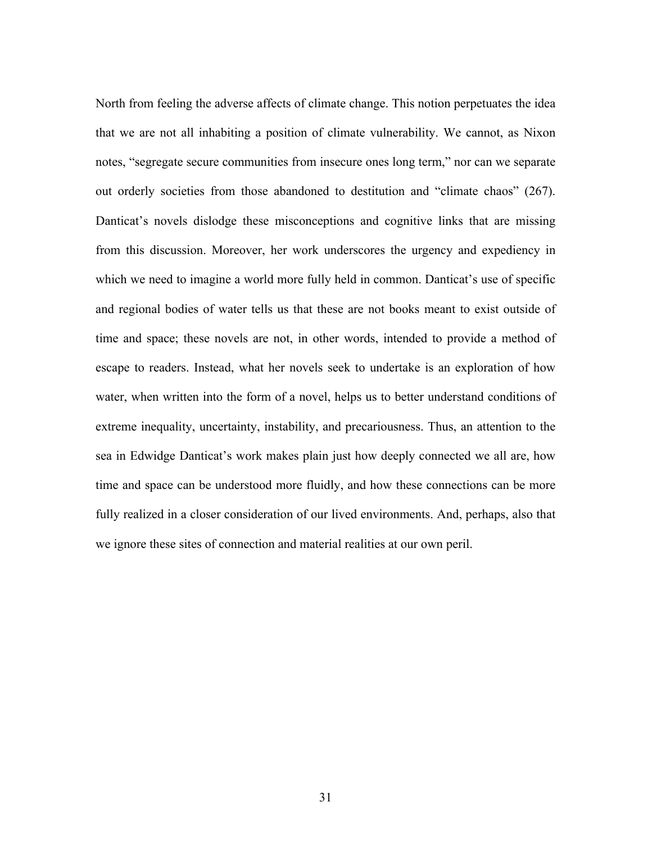North from feeling the adverse affects of climate change. This notion perpetuates the idea that we are not all inhabiting a position of climate vulnerability. We cannot, as Nixon notes, "segregate secure communities from insecure ones long term," nor can we separate out orderly societies from those abandoned to destitution and "climate chaos" (267). Danticat's novels dislodge these misconceptions and cognitive links that are missing from this discussion. Moreover, her work underscores the urgency and expediency in which we need to imagine a world more fully held in common. Danticat's use of specific and regional bodies of water tells us that these are not books meant to exist outside of time and space; these novels are not, in other words, intended to provide a method of escape to readers. Instead, what her novels seek to undertake is an exploration of how water, when written into the form of a novel, helps us to better understand conditions of extreme inequality, uncertainty, instability, and precariousness. Thus, an attention to the sea in Edwidge Danticat's work makes plain just how deeply connected we all are, how time and space can be understood more fluidly, and how these connections can be more fully realized in a closer consideration of our lived environments. And, perhaps, also that we ignore these sites of connection and material realities at our own peril.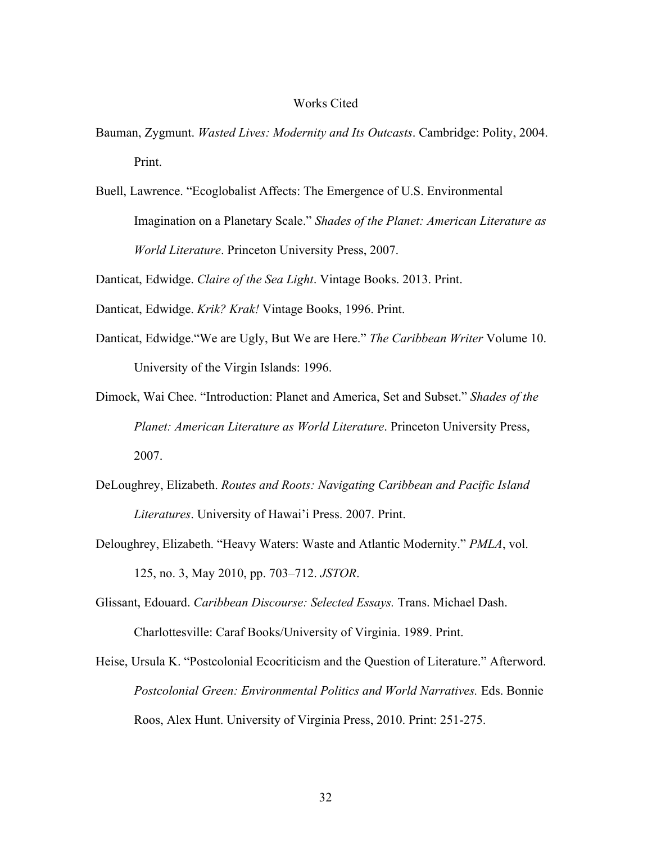#### Works Cited

- Bauman, Zygmunt. *Wasted Lives: Modernity and Its Outcasts*. Cambridge: Polity, 2004. Print.
- Buell, Lawrence. "Ecoglobalist Affects: The Emergence of U.S. Environmental Imagination on a Planetary Scale." *Shades of the Planet: American Literature as World Literature*. Princeton University Press, 2007.

Danticat, Edwidge. *Claire of the Sea Light*. Vintage Books. 2013. Print.

- Danticat, Edwidge. *Krik? Krak!* Vintage Books, 1996. Print.
- Danticat, Edwidge."We are Ugly, But We are Here." *The Caribbean Writer* Volume 10. University of the Virgin Islands: 1996.
- Dimock, Wai Chee. "Introduction: Planet and America, Set and Subset." *Shades of the Planet: American Literature as World Literature*. Princeton University Press, 2007.
- DeLoughrey, Elizabeth. *Routes and Roots: Navigating Caribbean and Pacific Island Literatures*. University of Hawai'i Press. 2007. Print.
- Deloughrey, Elizabeth. "Heavy Waters: Waste and Atlantic Modernity." *PMLA*, vol. 125, no. 3, May 2010, pp. 703–712. *JSTOR*.
- Glissant, Edouard. *Caribbean Discourse: Selected Essays.* Trans. Michael Dash. Charlottesville: Caraf Books/University of Virginia. 1989. Print.
- Heise, Ursula K. "Postcolonial Ecocriticism and the Question of Literature." Afterword. *Postcolonial Green: Environmental Politics and World Narratives.* Eds. Bonnie Roos, Alex Hunt. University of Virginia Press, 2010. Print: 251-275.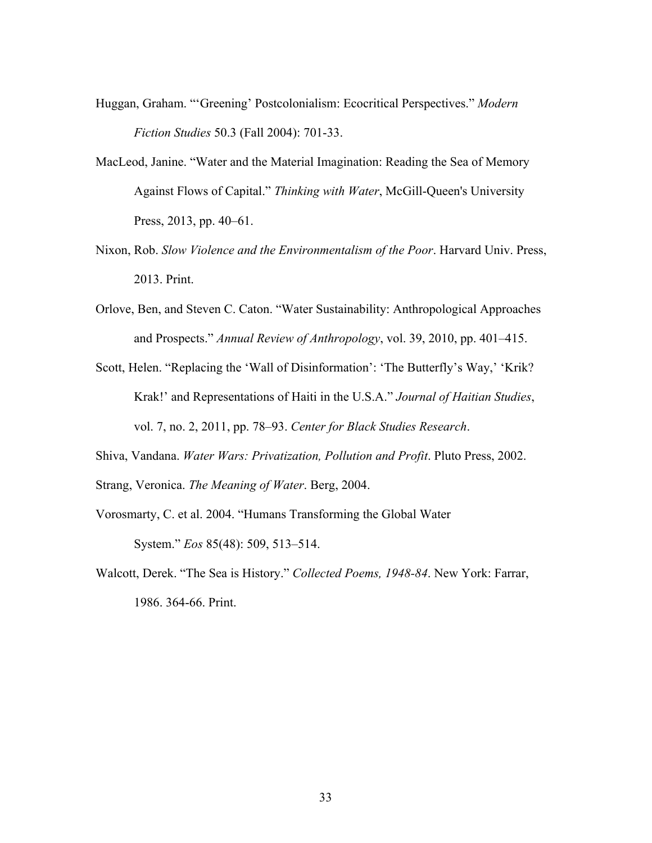- Huggan, Graham. "'Greening' Postcolonialism: Ecocritical Perspectives." *Modern Fiction Studies* 50.3 (Fall 2004): 701-33.
- MacLeod, Janine. "Water and the Material Imagination: Reading the Sea of Memory Against Flows of Capital." *Thinking with Water*, McGill-Queen's University Press, 2013, pp. 40–61.
- Nixon, Rob. *Slow Violence and the Environmentalism of the Poor*. Harvard Univ. Press, 2013. Print.
- Orlove, Ben, and Steven C. Caton. "Water Sustainability: Anthropological Approaches and Prospects." *Annual Review of Anthropology*, vol. 39, 2010, pp. 401–415.
- Scott, Helen. "Replacing the 'Wall of Disinformation': 'The Butterfly's Way,' 'Krik? Krak!' and Representations of Haiti in the U.S.A." *Journal of Haitian Studies*, vol. 7, no. 2, 2011, pp. 78–93. *Center for Black Studies Research*.
- Shiva, Vandana. *Water Wars: Privatization, Pollution and Profit*. Pluto Press, 2002.
- Strang, Veronica. *The Meaning of Water*. Berg, 2004.
- Vorosmarty, C. et al. 2004. "Humans Transforming the Global Water System." *Eos* 85(48): 509, 513–514.
- Walcott, Derek. "The Sea is History." *Collected Poems, 1948-84*. New York: Farrar, 1986. 364-66. Print.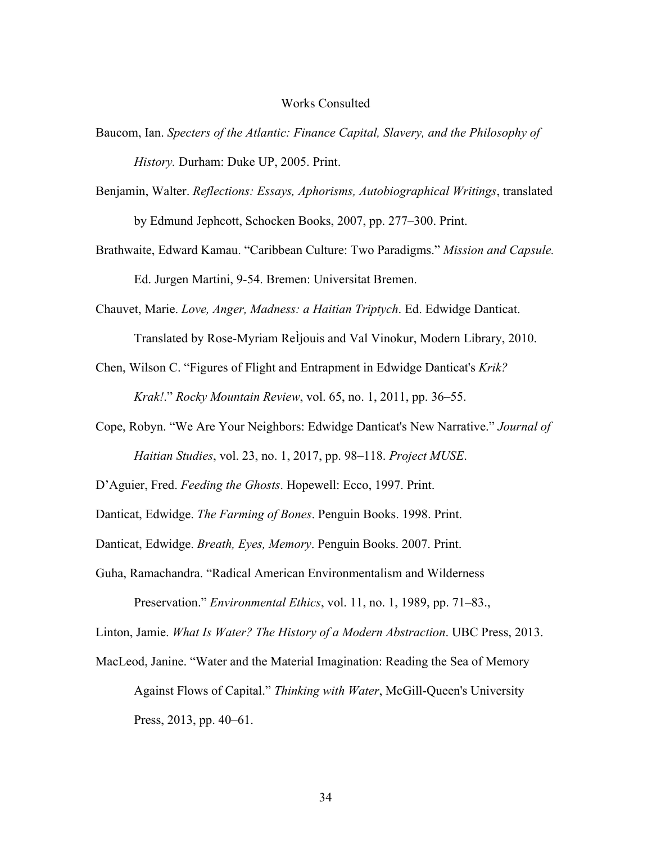#### Works Consulted

- Baucom, Ian. *Specters of the Atlantic: Finance Capital, Slavery, and the Philosophy of History.* Durham: Duke UP, 2005. Print.
- Benjamin, Walter. *Reflections: Essays, Aphorisms, Autobiographical Writings*, translated by Edmund Jephcott, Schocken Books, 2007, pp. 277–300. Print.
- Brathwaite, Edward Kamau. "Caribbean Culture: Two Paradigms." *Mission and Capsule.* Ed. Jurgen Martini, 9-54. Bremen: Universitat Bremen.
- Chauvet, Marie. *Love, Anger, Madness: a Haitian Triptych*. Ed. Edwidge Danticat.
	- Translated by Rose-Myriam ReÌjouis and Val Vinokur, Modern Library, 2010.
- Chen, Wilson C. "Figures of Flight and Entrapment in Edwidge Danticat's *Krik?*

*Krak!*." *Rocky Mountain Review*, vol. 65, no. 1, 2011, pp. 36–55.

- Cope, Robyn. "We Are Your Neighbors: Edwidge Danticat's New Narrative." *Journal of Haitian Studies*, vol. 23, no. 1, 2017, pp. 98–118. *Project MUSE*.
- D'Aguier, Fred. *Feeding the Ghosts*. Hopewell: Ecco, 1997. Print.

Danticat, Edwidge. *The Farming of Bones*. Penguin Books. 1998. Print.

Danticat, Edwidge. *Breath, Eyes, Memory*. Penguin Books. 2007. Print.

Guha, Ramachandra. "Radical American Environmentalism and Wilderness

Preservation." *Environmental Ethics*, vol. 11, no. 1, 1989, pp. 71–83.,

Linton, Jamie. *What Is Water? The History of a Modern Abstraction*. UBC Press, 2013.

MacLeod, Janine. "Water and the Material Imagination: Reading the Sea of Memory Against Flows of Capital." *Thinking with Water*, McGill-Queen's University Press, 2013, pp. 40–61.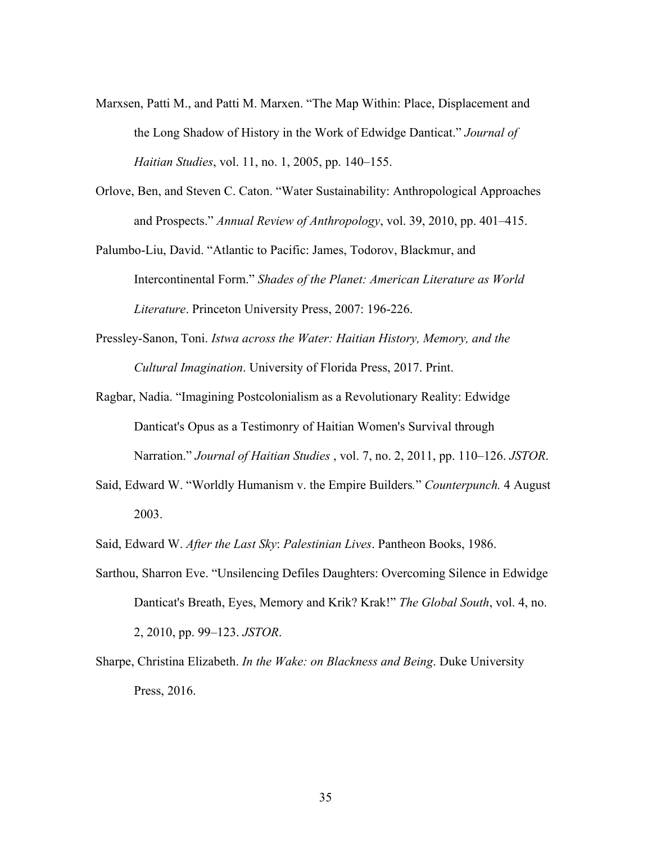- Marxsen, Patti M., and Patti M. Marxen. "The Map Within: Place, Displacement and the Long Shadow of History in the Work of Edwidge Danticat." *Journal of Haitian Studies*, vol. 11, no. 1, 2005, pp. 140–155.
- Orlove, Ben, and Steven C. Caton. "Water Sustainability: Anthropological Approaches and Prospects." *Annual Review of Anthropology*, vol. 39, 2010, pp. 401–415.
- Palumbo-Liu, David. "Atlantic to Pacific: James, Todorov, Blackmur, and Intercontinental Form." *Shades of the Planet: American Literature as World Literature*. Princeton University Press, 2007: 196-226.
- Pressley-Sanon, Toni. *Istwa across the Water: Haitian History, Memory, and the Cultural Imagination*. University of Florida Press, 2017. Print.
- Ragbar, Nadia. "Imagining Postcolonialism as a Revolutionary Reality: Edwidge Danticat's Opus as a Testimonry of Haitian Women's Survival through Narration." *Journal of Haitian Studies* , vol. 7, no. 2, 2011, pp. 110–126. *JSTOR*.
- Said, Edward W. "Worldly Humanism v. the Empire Builders*.*" *Counterpunch.* 4 August 2003.
- Said, Edward W. *After the Last Sky*: *Palestinian Lives*. Pantheon Books, 1986.
- Sarthou, Sharron Eve. "Unsilencing Defiles Daughters: Overcoming Silence in Edwidge Danticat's Breath, Eyes, Memory and Krik? Krak!" *The Global South*, vol. 4, no. 2, 2010, pp. 99–123. *JSTOR*.
- Sharpe, Christina Elizabeth. *In the Wake: on Blackness and Being*. Duke University Press, 2016.